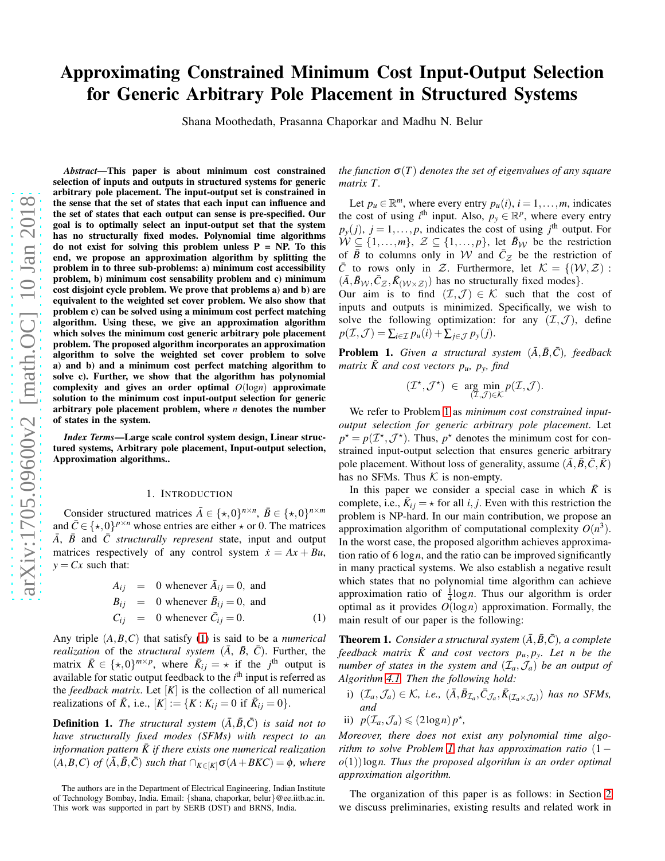# Approximating Constrained Minimum Cost Input-Output Selection for Generic Arbitrary Pole Placement in Structured Systems

Shana Moothedath, Prasanna Chaporkar and Madhu N. Belur

*Abstract*—This paper is about minimum cost constrained selection of inputs and outputs in structured systems for generic arbitrary pole placement. The input-output set is constrained in the sense that the set of states that each input can influence and the set of states that each output can sense is pre-specified. Our goal is to optimally select an input-output set that the system has no structurally fixed modes. Polynomial time algorithms do not exist for solving this problem unless  $P = NP$ . To this end, we propose an approximation algorithm by splitting the problem in to three sub-problems: a) minimum cost accessibility problem, b) minimum cost sensability problem and c) minimum cost disjoint cycle problem. We prove that problems a) and b) are equivalent to the weighted set cover problem. We also show that problem c) can be solved using a minimum cost perfect matching algorithm. Using these, we give an approximation algorithm which solves the minimum cost generic arbitrary pole placement problem. The proposed algorithm incorporates an approximation algorithm to solve the weighted set cover problem to solve a) and b) and a minimum cost perfect matching algorithm to solve c). Further, we show that the algorithm has polynomial complexity and gives an order optimal *O*(log*n*) approximate solution to the minimum cost input-output selection for generic arbitrary pole placement problem, where *n* denotes the number of states in the system.

*Index Terms*—Large scale control system design, Linear structured systems, Arbitrary pole placement, Input-output selection, Approximation algorithms..

#### 1. INTRODUCTION

Consider structured matrices  $\bar{A} \in \{\star, 0\}^{n \times n}$ ,  $\bar{B} \in \{\star, 0\}^{n \times m}$ and  $\bar{C} \in \{ \star, 0 \}^{p \times n}$  whose entries are either  $\star$  or 0. The matrices  $\overline{A}$ ,  $\overline{B}$  and  $\overline{C}$  *structurally represent* state, input and output matrices respectively of any control system  $\dot{x} = Ax + Bu$ ,  $y = Cx$  such that:

<span id="page-0-0"></span>
$$
A_{ij} = 0 \text{ whenever } \overline{A}_{ij} = 0, \text{ and}
$$
  
\n
$$
B_{ij} = 0 \text{ whenever } \overline{B}_{ij} = 0, \text{ and}
$$
  
\n
$$
C_{ij} = 0 \text{ whenever } \overline{C}_{ij} = 0.
$$
 (1)

Any triple (*A*,*B*,*C*) that satisfy [\(1\)](#page-0-0) is said to be a *numerical realization* of the *structural system*  $(\overline{A}, \overline{B}, \overline{C})$ . Further, the matrix  $\bar{K} \in {\{\star,0\}}^{m \times p}$ , where  $\bar{K}_{ij} = \star$  if the *j*<sup>th</sup> output is available for static output feedback to the *i*<sup>th</sup> input is referred as the *feedback matrix*. Let  $[K]$  is the collection of all numerical realizations of  $\overline{K}$ , i.e.,  $[K] := {K : K_{ij} = 0 \text{ if } \overline{K}_{ij} = 0}.$ 

**Definition 1.** The structural system  $(\bar{A}, \bar{B}, \bar{C})$  is said not to *have structurally fixed modes (SFMs) with respect to an information pattern*  $\bar{K}$  *if there exists one numerical realization*  $(A, B, C)$  *of*  $(\overline{A}, \overline{B}, \overline{C})$  *such that*  $\bigcap_{K \in [K]} \sigma(A + BKC) = \emptyset$ *, where* 

*the function*  $\sigma(T)$  *denotes the set of eigenvalues of any square matrix T.*

Let  $p_u \in \mathbb{R}^m$ , where every entry  $p_u(i)$ ,  $i = 1, \ldots, m$ , indicates the cost of using  $i^{\text{th}}$  input. Also,  $p_y \in \mathbb{R}^p$ , where every entry  $p_y(j)$ ,  $j = 1, \ldots, p$ , indicates the cost of using  $j^{\text{th}}$  output. For  $W \subseteq \{1, \ldots, m\}, Z \subseteq \{1, \ldots, p\},$  let  $\bar{B}_W$  be the restriction of  $\overline{B}$  to columns only in W and  $\overline{C}_z$  be the restriction of  $\overline{C}$  to rows only in Z. Furthermore, let  $\mathcal{K} = \{(\mathcal{W}, \mathcal{Z}) :$  $(\bar{A}, \bar{B}_{W}, \bar{C}_{Z}, \bar{K}_{(W \times Z)})$  has no structurally fixed modes}.

Our aim is to find  $(\mathcal{I}, \mathcal{J}) \in \mathcal{K}$  such that the cost of inputs and outputs is minimized. Specifically, we wish to solve the following optimization: for any  $(\mathcal{I}, \mathcal{J})$ , define  $p(\mathcal{I}, \mathcal{J}) = \sum_{i \in \mathcal{I}} p_u(i) + \sum_{j \in \mathcal{J}} p_y(j).$ 

<span id="page-0-1"></span>**Problem 1.** *Given a structural system*  $(\bar{A}, \bar{B}, \bar{C})$ *, feedback*  $matrix \bar{K}$  and cost vectors  $p_u$ ,  $p_y$ , find

$$
(\mathcal{I}^\star,\mathcal{J}^\star) \ \in \ \underset{(\mathcal{I},\mathcal{J})\in\mathcal{K}}{\arg\min}\, p(\mathcal{I},\mathcal{J}).
$$

We refer to Problem [1](#page-0-1) as *minimum cost constrained inputoutput selection for generic arbitrary pole placement*. Let  $p^* = p(\mathcal{I}^*, \mathcal{J}^*)$ . Thus,  $p^*$  denotes the minimum cost for constrained input-output selection that ensures generic arbitrary pole placement. Without loss of generality, assume  $(\bar{A}, \bar{B}, \bar{C}, \bar{K})$ has no SFMs. Thus  $K$  is non-empty.

In this paper we consider a special case in which  $\bar{K}$  is complete, i.e.,  $\bar{K}_{ij} = \star$  for all *i*, *j*. Even with this restriction the problem is NP-hard. In our main contribution, we propose an approximation algorithm of computational complexity  $O(n^3)$ . In the worst case, the proposed algorithm achieves approximation ratio of 6 log*n*, and the ratio can be improved significantly in many practical systems. We also establish a negative result which states that no polynomial time algorithm can achieve approximation ratio of  $\frac{1}{4} \log n$ . Thus our algorithm is order optimal as it provides *O*(log*n*) approximation. Formally, the main result of our paper is the following:

<span id="page-0-2"></span>**Theorem 1.** *Consider a structural system*  $(\overline{A}, \overline{B}, \overline{C})$ *, a complete* feedback matrix  $\bar{K}$  and cost vectors  $p_u, p_y$ . Let n be the *number of states in the system and*  $(\mathcal{I}_a, \mathcal{J}_a)$  *be an output of Algorithm [4.1.](#page-8-0) Then the following hold:*

- i)  $(\mathcal{I}_a, \mathcal{J}_a) \in \mathcal{K}$ , *i.e.*,  $(\bar{A}, \bar{B}_{\mathcal{I}_a}, \bar{C}_{\mathcal{J}_a}, \bar{K}_{(\mathcal{I}_a \times \mathcal{J}_a)})$  has no SFMs, *and*
- ii)  $p(\mathcal{I}_a, \mathcal{J}_a) \leq (2 \log n) p^*$ ,

*Moreover, there does not exist any polynomial time algorithm to solve Problem [1](#page-0-1) that has approximation ratio* (1 − *o*(1))log*n. Thus the proposed algorithm is an order optimal approximation algorithm.*

The organization of this paper is as follows: in Section [2](#page-1-0) we discuss preliminaries, existing results and related work in

The authors are in the Department of Electrical Engineering, Indian Institute of Technology Bombay, India. Email: {shana, chaporkar, belur}@ee.iitb.ac.in. This work was supported in part by SERB (DST) and BRNS, India.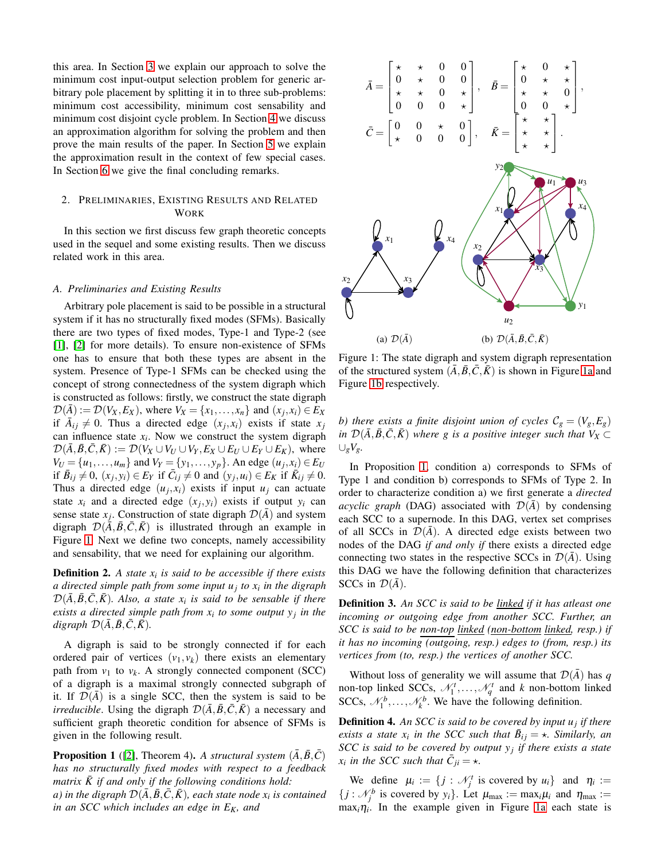this area. In Section [3](#page-3-0) we explain our approach to solve the minimum cost input-output selection problem for generic arbitrary pole placement by splitting it in to three sub-problems: minimum cost accessibility, minimum cost sensability and minimum cost disjoint cycle problem. In Section [4](#page-7-0) we discuss an approximation algorithm for solving the problem and then prove the main results of the paper. In Section [5](#page-9-0) we explain the approximation result in the context of few special cases. In Section [6](#page-10-0) we give the final concluding remarks.

# <span id="page-1-0"></span>2. PRELIMINARIES, EXISTING RESULTS AND RELATED **WORK**

In this section we first discuss few graph theoretic concepts used in the sequel and some existing results. Then we discuss related work in this area.

#### *A. Preliminaries and Existing Results*

Arbitrary pole placement is said to be possible in a structural system if it has no structurally fixed modes (SFMs). Basically there are two types of fixed modes, Type-1 and Type-2 (see [\[1\]](#page-10-1), [\[2\]](#page-10-2) for more details). To ensure non-existence of SFMs one has to ensure that both these types are absent in the system. Presence of Type-1 SFMs can be checked using the concept of strong connectedness of the system digraph which is constructed as follows: firstly, we construct the state digraph  $\mathcal{D}(\bar{A}) := \mathcal{D}(V_X, E_X)$ , where  $V_X = \{x_1, \dots, x_n\}$  and  $(x_j, x_i) \in E_X$ if  $\overline{A}_{ij} \neq 0$ . Thus a directed edge  $(x_j, x_i)$  exists if state  $x_j$ can influence state  $x_i$ . Now we construct the system digraph  $\mathcal{D}(\bar{A}, \bar{B}, \bar{C}, \bar{K}) := \mathcal{D}(V_X \cup V_U \cup V_Y, E_X \cup E_U \cup E_Y \cup E_K)$ , where  $V_U = \{u_1, \ldots, u_m\}$  and  $V_Y = \{y_1, \ldots, y_p\}$ . An edge  $(u_j, x_i) \in E_U$ if  $\overline{B}_{ij} \neq 0$ ,  $(x_j, y_i) \in E_Y$  if  $\overline{C}_{ij} \neq 0$  and  $(y_j, u_i) \in E_K$  if  $\overline{K}_{ij} \neq 0$ . Thus a directed edge  $(u_j, x_i)$  exists if input  $u_j$  can actuate state  $x_i$  and a directed edge  $(x_j, y_i)$  exists if output  $y_i$  can sense state  $x_j$ . Construction of state digraph  $\mathcal{D}(\bar{A})$  and system digraph  $\mathcal{D}(\bar{A}, \bar{B}, \bar{C}, \bar{K})$  is illustrated through an example in Figure [1.](#page-1-1) Next we define two concepts, namely accessibility and sensability, that we need for explaining our algorithm.

<span id="page-1-3"></span>Definition 2. *A state x<sup>i</sup> is said to be accessible if there exists a directed simple path from some input u<sup>j</sup> to x<sup>i</sup> in the digraph*  $\mathcal{D}(\bar{A}, \bar{B}, \bar{C}, \bar{K})$ *. Also, a state*  $x_i$  *is said to be sensable if there exists a directed simple path from x<sup>i</sup> to some output y<sup>j</sup> in the digraph*  $\mathcal{D}(\bar{A}, \bar{B}, \bar{C}, \bar{K})$ *.* 

A digraph is said to be strongly connected if for each ordered pair of vertices  $(v_1, v_k)$  there exists an elementary path from  $v_1$  to  $v_k$ . A strongly connected component (SCC) of a digraph is a maximal strongly connected subgraph of it. If  $\mathcal{D}(A)$  is a single SCC, then the system is said to be *irreducible*. Using the digraph  $\mathcal{D}(\bar{A}, \bar{B}, \bar{C}, \bar{K})$  a necessary and sufficient graph theoretic condition for absence of SFMs is given in the following result.

<span id="page-1-2"></span>**Proposition 1** ([\[2\]](#page-10-2), Theorem 4). A structural system  $(\bar{A}, \bar{B}, \bar{C})$ *has no structurally fixed modes with respect to a feedback matrix*  $\bar{K}$  *if and only if the following conditions hold: a) in the digraph*  $\mathcal{D}(\bar{A}, \bar{B}, \bar{C}, \bar{K})$ *, each state node*  $x_i$  *is contained in an SCC which includes an edge in EK, and*

<span id="page-1-1"></span>

Figure 1: The state digraph and system digraph representation of the structured system  $(\overline{A}, \overline{B}, \overline{C}, \overline{K})$  is shown in Figure [1a](#page-1-1) and Figure [1b](#page-1-1) respectively.

*b)* there exists a finite disjoint union of cycles  $\mathcal{C}_g = (V_g, E_g)$ *in*  $\mathcal{D}(\bar{A}, \bar{B}, \bar{C}, \bar{K})$  *where g is a positive integer such that*  $V_X \subset$ ∪*gVg.*

In Proposition [1,](#page-1-2) condition a) corresponds to SFMs of Type 1 and condition b) corresponds to SFMs of Type 2. In order to characterize condition a) we first generate a *directed acyclic graph* (DAG) associated with  $\mathcal{D}(\bar{A})$  by condensing each SCC to a supernode. In this DAG, vertex set comprises of all SCCs in  $\mathcal{D}(\overline{A})$ . A directed edge exists between two nodes of the DAG *if and only if* there exists a directed edge connecting two states in the respective SCCs in  $\mathcal{D}(\bar{A})$ . Using this DAG we have the following definition that characterizes SCCs in  $\mathcal{D}(\bar{A})$ .

<span id="page-1-4"></span>Definition 3. *An SCC is said to be linked if it has atleast one incoming or outgoing edge from another SCC. Further, an SCC is said to be non-top linked (non-bottom linked, resp.) if it has no incoming (outgoing, resp.) edges to (from, resp.) its vertices from (to, resp.) the vertices of another SCC.*

Without loss of generality we will assume that  $\mathcal{D}(\bar{A})$  has *q* non-top linked SCCs,  $\mathcal{N}_1^t$ , ...,  $\mathcal{N}_q^t$  and *k* non-bottom linked SCCs,  $\mathcal{N}_1^b$ , ...,  $\mathcal{N}_k^b$ . We have the following definition.

Definition 4. *An SCC is said to be covered by input u<sup>j</sup> if there exists a state*  $x_i$  *in the SCC such that*  $\bar{B}_{ij} = \star$ *. Similarly, an SCC is said to be covered by output y<sup>j</sup> if there exists a state x*<sub>i</sub> in the SCC such that  $\overline{C}_{ji} = \star$ .

We define  $\mu_i := \{ j : \mathcal{N}_j^t \text{ is covered by } u_i \}$  and  $\eta_i :=$  $\{ j : \mathcal{N}_j^b \text{ is covered by } y_i \}.$  Let  $\mu_{\text{max}} := \max_i \mu_i$  and  $\eta_{\text{max}} :=$  $\max_i \eta_i$ . In the example given in Figure [1a](#page-1-1) each state is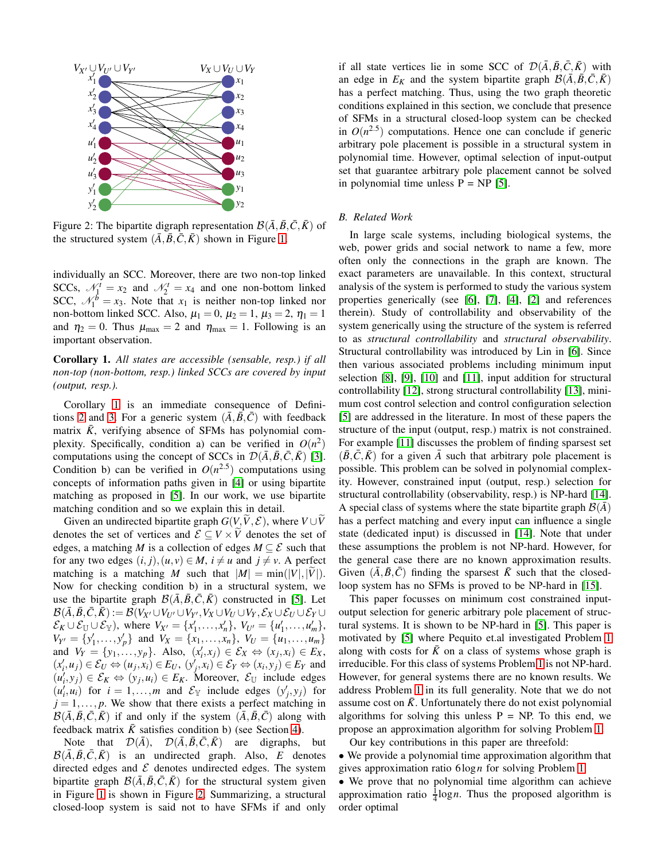<span id="page-2-1"></span>

Figure 2: The bipartite digraph representation  $\mathcal{B}(\bar{A}, \bar{B}, \bar{C}, \bar{K})$  of the structured system  $(\bar{A}, \bar{B}, \bar{C}, \bar{K})$  shown in Figure [1.](#page-1-1)

individually an SCC. Moreover, there are two non-top linked SCCs,  $\mathcal{N}_1^t = x_2$  and  $\mathcal{N}_2^t = x_4$  and one non-bottom linked SCC,  $\mathcal{N}_1^b = x_3$ . Note that  $x_1$  is neither non-top linked nor non-bottom linked SCC. Also,  $\mu_1 = 0$ ,  $\mu_2 = 1$ ,  $\mu_3 = 2$ ,  $\eta_1 = 1$ and  $\eta_2 = 0$ . Thus  $\mu_{\text{max}} = 2$  and  $\eta_{\text{max}} = 1$ . Following is an important observation.

# <span id="page-2-0"></span>Corollary 1. *All states are accessible (sensable, resp.) if all non-top (non-bottom, resp.) linked SCCs are covered by input (output, resp.).*

Corollary [1](#page-2-0) is an immediate consequence of Defini-tions [2](#page-1-3) and [3.](#page-1-4) For a generic system  $(\bar{A}, \bar{B}, \bar{C})$  with feedback matrix  $\bar{K}$ , verifying absence of SFMs has polynomial complexity. Specifically, condition a) can be verified in  $O(n^2)$ computations using the concept of SCCs in  $\mathcal{D}(\bar{A}, \bar{B}, \bar{C}, \bar{K})$  [\[3\]](#page-10-3). Condition b) can be verified in  $O(n^{2.5})$  computations using concepts of information paths given in [\[4\]](#page-10-4) or using bipartite matching as proposed in [\[5\]](#page-10-5). In our work, we use bipartite matching condition and so we explain this in detail.

Given an undirected bipartite graph  $G(V, \tilde{V}, \mathcal{E})$ , where  $V \cup \tilde{V}$ denotes the set of vertices and  $\mathcal{E} \subseteq V \times \widetilde{V}$  denotes the set of edges, a matching *M* is a collection of edges  $M \subseteq \mathcal{E}$  such that for any two edges  $(i, j)$ ,  $(u, v) \in M$ ,  $i \neq u$  and  $j \neq v$ . A perfect matching is a matching *M* such that  $|M| = min(|V|, |V|)$ . Now for checking condition b) in a structural system, we use the bipartite graph  $\mathcal{B}(\overline{A}, \overline{B}, \overline{C}, \overline{K})$  constructed in [\[5\]](#page-10-5). Let  $\mathcal{B}(\bar{A}, \bar{B}, \bar{C}, \bar{K}) := \mathcal{B}(V_{X'} \cup V_{U'} \cup V_{Y'}, V_X \cup V_U \cup V_Y, \mathcal{E}_X \cup \mathcal{E}_U \cup \mathcal{E}_Y \cup$  $\mathcal{E}_K \cup \mathcal{E}_{\mathbb{U}} \cup \mathcal{E}_{\mathbb{Y}}$ , where  $V_{X'} = \{x'_1, \ldots, x'_n\}, V_{U'} = \{u'_1, \ldots, u'_m\},$  $V_{Y'} = \{y'_1, \ldots, y'_p\}$  and  $V_X = \{x_1, \ldots, x_n\}, V_U = \{u_1, \ldots, u_m\}$ and  $V_Y = \{y_1, \ldots, y_p\}$ . Also,  $(x'_i, x_j) \in \mathcal{E}_X \Leftrightarrow (x_j, x_i) \in E_X$ ,  $(x'_i, u_j) \in \mathcal{E}_U \Leftrightarrow (u_j, x_i) \in E_U$ ,  $(y'_j, x_i) \in \mathcal{E}_Y \Leftrightarrow (x_i, y_j) \in E_Y$  and  $(u'_i, y_j) \in \mathcal{E}_K \Leftrightarrow (y_j, u_i) \in E_K$ . Moreover,  $\mathcal{E}_U$  include edges  $(u'_i, u_i)$  for  $i = 1, ..., m$  and  $\mathcal{E}_{\mathbb{Y}}$  include edges  $(y'_j, y_j)$  for  $j = 1, \ldots, p$ . We show that there exists a perfect matching in  $\mathcal{B}(\bar{A}, \bar{B}, \bar{C}, \bar{K})$  if and only if the system  $(\bar{A}, \bar{B}, \bar{C})$  along with feedback matrix  $\bar{K}$  satisfies condition b) (see Section [4\)](#page-7-0).

Note that  $\mathcal{D}(\bar{A})$ ,  $\mathcal{D}(\bar{A}, \bar{B}, \bar{C}, \bar{K})$  are digraphs, but  $\mathcal{B}(\bar{A}, \bar{B}, \bar{C}, \bar{K})$  is an undirected graph. Also, *E* denotes directed edges and  $\mathcal E$  denotes undirected edges. The system bipartite graph  $\mathcal{B}(\overline{A}, \overline{B}, \overline{C}, \overline{K})$  for the structural system given in Figure [1](#page-1-1) is shown in Figure [2.](#page-2-1) Summarizing, a structural closed-loop system is said not to have SFMs if and only if all state vertices lie in some SCC of  $\mathcal{D}(\bar{A}, \bar{B}, \bar{C}, \bar{K})$  with an edge in  $E_K$  and the system bipartite graph  $\mathcal{B}(\bar{A}, \bar{B}, \bar{C}, \bar{K})$ has a perfect matching. Thus, using the two graph theoretic conditions explained in this section, we conclude that presence of SFMs in a structural closed-loop system can be checked in  $O(n^{2.5})$  computations. Hence one can conclude if generic arbitrary pole placement is possible in a structural system in polynomial time. However, optimal selection of input-output set that guarantee arbitrary pole placement cannot be solved in polynomial time unless  $P = NP$  [\[5\]](#page-10-5).

# *B. Related Work*

In large scale systems, including biological systems, the web, power grids and social network to name a few, more often only the connections in the graph are known. The exact parameters are unavailable. In this context, structural analysis of the system is performed to study the various system properties generically (see [\[6\]](#page-10-6), [\[7\]](#page-10-7), [\[4\]](#page-10-4), [\[2\]](#page-10-2) and references therein). Study of controllability and observability of the system generically using the structure of the system is referred to as *structural controllability* and *structural observability*. Structural controllability was introduced by Lin in [\[6\]](#page-10-6). Since then various associated problems including minimum input selection [\[8\]](#page-10-8), [\[9\]](#page-10-9), [\[10\]](#page-10-10) and [\[11\]](#page-10-11), input addition for structural controllability [\[12\]](#page-10-12), strong structural controllability [\[13\]](#page-10-13), minimum cost control selection and control configuration selection [\[5\]](#page-10-5) are addressed in the literature. In most of these papers the structure of the input (output, resp.) matrix is not constrained. For example [\[11\]](#page-10-11) discusses the problem of finding sparsest set  $(\overline{B}, C, \overline{K})$  for a given *A* such that arbitrary pole placement is possible. This problem can be solved in polynomial complexity. However, constrained input (output, resp.) selection for structural controllability (observability, resp.) is NP-hard [\[14\]](#page-10-14). A special class of systems where the state bipartite graph  $\mathcal{B}(\bar{A})$ has a perfect matching and every input can influence a single state (dedicated input) is discussed in [\[14\]](#page-10-14). Note that under these assumptions the problem is not NP-hard. However, for the general case there are no known approximation results. Given  $(\overline{A}, \overline{B}, \overline{C})$  finding the sparsest  $\overline{K}$  such that the closedloop system has no SFMs is proved to be NP-hard in [\[15\]](#page-10-15).

This paper focusses on minimum cost constrained inputoutput selection for generic arbitrary pole placement of structural systems. It is shown to be NP-hard in [\[5\]](#page-10-5). This paper is motivated by [\[5\]](#page-10-5) where Pequito et.al investigated Problem [1](#page-0-1) along with costs for  $\bar{K}$  on a class of systems whose graph is irreducible. For this class of systems Problem [1](#page-0-1) is not NP-hard. However, for general systems there are no known results. We address Problem [1](#page-0-1) in its full generality. Note that we do not assume cost on  $\bar{K}$ . Unfortunately there do not exist polynomial algorithms for solving this unless  $P = NP$ . To this end, we propose an approximation algorithm for solving Problem [1.](#page-0-1)

Our key contributions in this paper are threefold: • We provide a polynomial time approximation algorithm that gives approximation ratio 6log*n* for solving Problem [1.](#page-0-1)

• We prove that no polynomial time algorithm can achieve approximation ratio  $\frac{1}{4} \log n$ . Thus the proposed algorithm is order optimal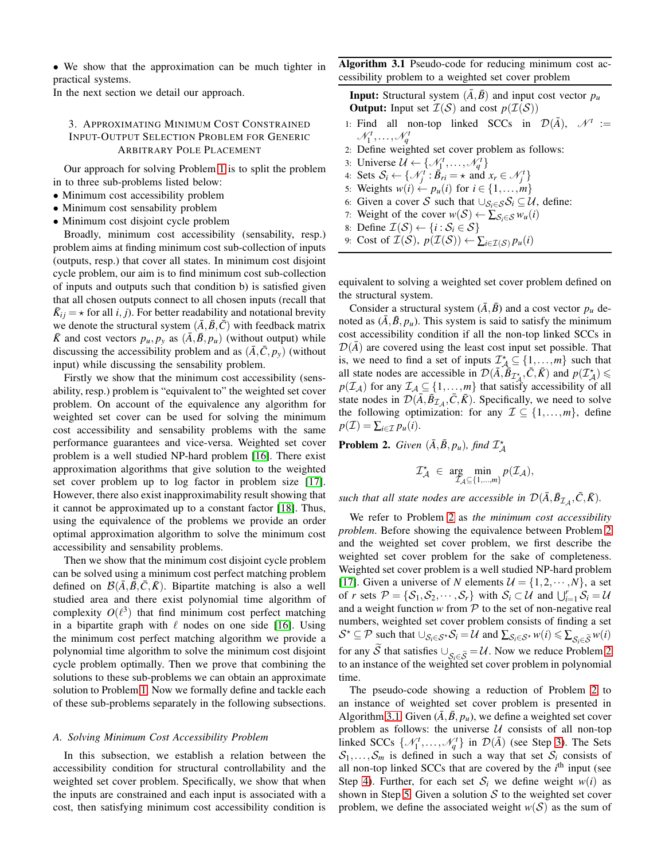• We show that the approximation can be much tighter in practical systems.

<span id="page-3-0"></span>In the next section we detail our approach.

# 3. APPROXIMATING MINIMUM COST CONSTRAINED INPUT-OUTPUT SELECTION PROBLEM FOR GENERIC ARBITRARY POLE PLACEMENT

Our approach for solving Problem [1](#page-0-1) is to split the problem in to three sub-problems listed below:

- Minimum cost accessibility problem
- Minimum cost sensability problem
- Minimum cost disjoint cycle problem

Broadly, minimum cost accessibility (sensability, resp.) problem aims at finding minimum cost sub-collection of inputs (outputs, resp.) that cover all states. In minimum cost disjoint cycle problem, our aim is to find minimum cost sub-collection of inputs and outputs such that condition b) is satisfied given that all chosen outputs connect to all chosen inputs (recall that  $\bar{K}_{ij} = \star$  for all *i*, *j*). For better readability and notational brevity we denote the structural system  $(\overline{A}, \overline{B}, \overline{C})$  with feedback matrix  $\bar{K}$  and cost vectors  $p_u, p_y$  as  $(\bar{A}, \bar{B}, p_u)$  (without output) while discussing the accessibility problem and as  $(\overline{A}, \overline{C}, p_y)$  (without input) while discussing the sensability problem.

Firstly we show that the minimum cost accessibility (sensability, resp.) problem is "equivalent to" the weighted set cover problem. On account of the equivalence any algorithm for weighted set cover can be used for solving the minimum cost accessibility and sensability problems with the same performance guarantees and vice-versa. Weighted set cover problem is a well studied NP-hard problem [\[16\]](#page-10-16). There exist approximation algorithms that give solution to the weighted set cover problem up to log factor in problem size [\[17\]](#page-10-17). However, there also exist inapproximability result showing that it cannot be approximated up to a constant factor [\[18\]](#page-10-18). Thus, using the equivalence of the problems we provide an order optimal approximation algorithm to solve the minimum cost accessibility and sensability problems.

Then we show that the minimum cost disjoint cycle problem can be solved using a minimum cost perfect matching problem defined on  $\mathcal{B}(\bar{A}, \bar{B}, \bar{C}, \bar{K})$ . Bipartite matching is also a well studied area and there exist polynomial time algorithm of complexity  $O(\ell^3)$  that find minimum cost perfect matching in a bipartite graph with  $\ell$  nodes on one side [\[16\]](#page-10-16). Using the minimum cost perfect matching algorithm we provide a polynomial time algorithm to solve the minimum cost disjoint cycle problem optimally. Then we prove that combining the solutions to these sub-problems we can obtain an approximate solution to Problem [1.](#page-0-1) Now we formally define and tackle each of these sub-problems separately in the following subsections.

# *A. Solving Minimum Cost Accessibility Problem*

In this subsection, we establish a relation between the accessibility condition for structural controllability and the weighted set cover problem. Specifically, we show that when the inputs are constrained and each input is associated with a cost, then satisfying minimum cost accessibility condition is <span id="page-3-2"></span>Algorithm 3.1 Pseudo-code for reducing minimum cost accessibility problem to a weighted set cover problem

**Input:** Structural system  $(\bar{A}, \bar{B})$  and input cost vector  $p_u$ **Output:** Input set  $\mathcal{I}(\mathcal{S})$  and cost  $p(\mathcal{I}(\mathcal{S}))$ 

- 1: Find all non-top linked SCCs in  $\mathcal{D}(\bar{A})$ ,  $\mathcal{N}^t :=$  $\mathcal{N}_1^t, \ldots, \mathcal{N}_q^t$
- 2: Define weighted set cover problem as follows:
- 3: Universe  $\mathcal{U} \leftarrow \{\mathcal{N}_1^t, \ldots, \mathcal{N}_q^t\}$
- 4: Sets  $S_i \leftarrow \{\mathcal{N}_j^t : \overline{B}_{ri} = \star \text{ and } x_r \in \mathcal{N}_j^t\}$
- 5: Weights  $w(i) \leftarrow p_u(i)$  for  $i \in \{1, \ldots, m\}$
- 6: Given a cover S such that  $\bigcup_{S_i \in \mathcal{S}} S_i \subseteq \mathcal{U}$ , define:
- 7: Weight of the cover  $w(S) \leftarrow \sum_{S_i \in S} w_u(i)$
- 8: Define  $\mathcal{I}(\mathcal{S}) \leftarrow \{i : \mathcal{S}_i \in \mathcal{S}\}\$
- 9: Cost of  $\mathcal{I}(\mathcal{S}), p(\mathcal{I}(\mathcal{S})) \leftarrow \sum_{i \in \mathcal{I}(\mathcal{S})} p_u(i)$

equivalent to solving a weighted set cover problem defined on the structural system.

Consider a structural system  $(\overline{A}, \overline{B})$  and a cost vector  $p_u$  denoted as  $(\bar{A}, \bar{B}, p_u)$ . This system is said to satisfy the minimum cost accessibility condition if all the non-top linked SCCs in  $\mathcal{D}(\bar{A})$  are covered using the least cost input set possible. That is, we need to find a set of inputs  $\mathcal{I}_{\mathcal{A}}^{\star} \subseteq \{1, \ldots, m\}$  such that all state nodes are accessible in  $\mathcal{D}(\vec{A}, \vec{B}_{\mathcal{I}_{\vec{A}}}$ ,  $(\vec{C}, \vec{K})$  and  $p(\mathcal{I}_{\vec{A}}^{\star})$  $p(\mathcal{I}_\mathcal{A})$  for any  $\mathcal{I}_\mathcal{A} \subseteq \{1,\ldots,m\}$  that satisfy accessibility of all state nodes in  $\mathcal{D}(\bar{A}, \bar{B}_{\mathcal{I}_{\mathcal{A}}}, \bar{C}, \bar{K})$ . Specifically, we need to solve the following optimization: for any  $\mathcal{I} \subseteq \{1, \ldots, m\}$ , define  $p(\mathcal{I}) = \sum_{i \in \mathcal{I}} p_u(i).$ 

<span id="page-3-1"></span>**Problem 2.** *Given*  $(\bar{A}, \bar{B}, p_u)$ *, find*  $\mathcal{I}_{\mathcal{A}}^{\star}$ 

$$
\mathcal{I}^\star_{\mathcal{A}}\ \in\ \underset{\mathcal{I}_{\mathcal{A}}\subseteq\{1,\ldots,m\}}{\arg\min}p(\mathcal{I}_{\mathcal{A}}),
$$

such that all state nodes are accessible in  $\mathcal{D}(\bar{A}, \bar{B}_{\mathcal{I}_{\mathcal{A}}}, \bar{C}, \bar{K})$ .

We refer to Problem [2](#page-3-1) as *the minimum cost accessibility problem*. Before showing the equivalence between Problem [2](#page-3-1) and the weighted set cover problem, we first describe the weighted set cover problem for the sake of completeness. Weighted set cover problem is a well studied NP-hard problem [\[17\]](#page-10-17). Given a universe of *N* elements  $\mathcal{U} = \{1, 2, \dots, N\}$ , a set of *r* sets  $\mathcal{P} = \{S_1, S_2, \dots, S_r\}$  with  $S_i \subset \mathcal{U}$  and  $\bigcup_{i=1}^r S_i = \mathcal{U}$ and a weight function  $w$  from  $P$  to the set of non-negative real numbers, weighted set cover problem consists of finding a set  $S^* \subseteq \mathcal{P}$  such that  $\cup_{\mathcal{S}_i \in \mathcal{S}^*} \mathcal{S}_i = \mathcal{U}$  and  $\sum_{\mathcal{S}_i \in \mathcal{S}^*} w(i) \leq \sum_{\mathcal{S}_i \in \widetilde{\mathcal{S}}} w(i)$ for any S that satisfies  $\bigcup_{S_i \in \widetilde{S}} = \mathcal{U}$ . Now we reduce Problem [2](#page-3-1) to an instance of the weighted set cover problem in polynomial time.

The pseudo-code showing a reduction of Problem [2](#page-3-1) to an instance of weighted set cover problem is presented in Algorithm [3.1.](#page-3-2) Given  $(\bar{A}, \bar{B}, p_u)$ , we define a weighted set cover problem as follows: the universe  $U$  consists of all non-top linked SCCs  $\{\mathcal{N}_1^t, \ldots, \mathcal{N}_q^t\}$  in  $\mathcal{D}(\bar{A})$  (see Step [3\)](#page-3-2). The Sets  $S_1, \ldots, S_m$  is defined in such a way that set  $S_i$  consists of all non-top linked SCCs that are covered by the *i*<sup>th</sup> input (see Step [4\)](#page-3-2). Further, for each set  $S_i$  we define weight  $w(i)$  as shown in Step [5.](#page-3-2) Given a solution  $S$  to the weighted set cover problem, we define the associated weight  $w(S)$  as the sum of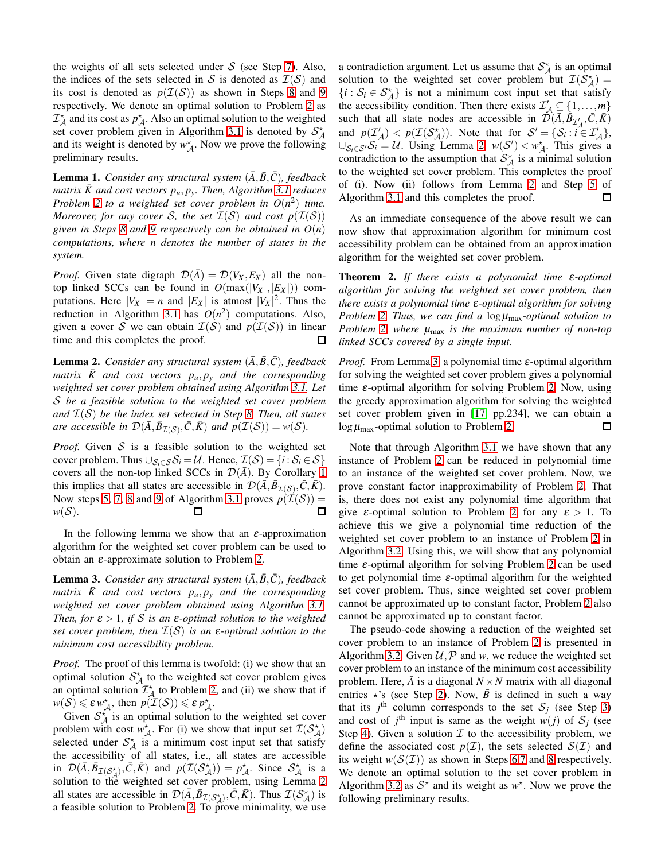the weights of all sets selected under  $S$  (see Step [7\)](#page-3-2). Also, the indices of the sets selected in S is denoted as  $\mathcal{I}(\mathcal{S})$  and its cost is denoted as  $p(\mathcal{I}(\mathcal{S}))$  as shown in Steps [8](#page-3-2) and [9](#page-3-2) respectively. We denote an optimal solution to Problem [2](#page-3-1) as  $\mathcal{I}_{\mathcal{A}}^{\star}$  and its cost as  $p_{\mathcal{A}}^{\star}$ . Also an optimal solution to the weighted set cover problem given in Algorithm [3.1](#page-3-2) is denoted by  $S_A^*$ and its weight is denoted by  $w_A^*$ . Now we prove the following preliminary results.

**Lemma 1.** *Consider any structural system*  $(\overline{A}, \overline{B}, \overline{C})$ *, feedback*  $matrix \bar{K}$  and cost vectors  $p_u, p_y$ . Then, Algorithm [3.1](#page-3-2) reduces *Problem* [2](#page-3-1) *to a weighted set cover problem in*  $O(n^2)$  *time. Moreover, for any cover* S, the set  $\mathcal{I}(S)$  and cost  $p(\mathcal{I}(S))$ *given in Steps [8](#page-3-2) and [9](#page-3-2) respectively can be obtained in O*(*n*) *computations, where n denotes the number of states in the system.*

*Proof.* Given state digraph  $\mathcal{D}(\overline{A}) = \mathcal{D}(V_X, E_X)$  all the nontop linked SCCs can be found in  $O(max(|V_X|, |E_X|))$  computations. Here  $|V_X| = n$  and  $|E_X|$  is atmost  $|V_X|^2$ . Thus the reduction in Algorithm [3.1](#page-3-2) has  $O(n^2)$  computations. Also, given a cover S we can obtain  $\mathcal{I}(\mathcal{S})$  and  $p(\mathcal{I}(\mathcal{S}))$  in linear time and this completes the proof.  $\Box$ 

<span id="page-4-0"></span>**Lemma 2.** *Consider any structural system*  $(\overline{A}, \overline{B}, \overline{C})$ *, feedback*  $matrix$   $\bar{K}$  and cost vectors  $p_u, p_y$  and the corresponding *weighted set cover problem obtained using Algorithm [3.1.](#page-3-2) Let* S *be a feasible solution to the weighted set cover problem and* I(S) *be the index set selected in Step [8.](#page-3-2) Then, all states are accessible in*  $\mathcal{D}(\bar{A}, \bar{B}_{\mathcal{I}(\mathcal{S})}, \bar{C}, \bar{K})$  *and*  $p(\mathcal{I}(\mathcal{S})) = w(\mathcal{S})$ *.* 

*Proof.* Given  $S$  is a feasible solution to the weighted set cover problem. Thus  $\cup_{\mathcal{S}_i \in \mathcal{S}} \mathcal{S}_i = \mathcal{U}$ . Hence,  $\mathcal{I}(\mathcal{S}) = \{i : \mathcal{S}_i \in \mathcal{S}\}\$ covers all the non-top linked SCCs in  $\mathcal{D}(\overline{A})$ . By Corollary [1](#page-2-0) this implies that all states are accessible in  $\mathcal{D}(\bar{A}, \bar{B}_{\mathcal{I}(\mathcal{S})}, \bar{C}, \bar{K})$ . Now steps [5, 7, 8](#page-3-2) and [9](#page-3-2) of Algorithm [3.1](#page-3-2) proves  $p(\mathcal{I}(\mathcal{S})) =$  $w(S)$ . п П

In the following lemma we show that an  $\varepsilon$ -approximation algorithm for the weighted set cover problem can be used to obtain an  $ε$ -approximate solution to Problem [2.](#page-3-1)

<span id="page-4-1"></span>**Lemma 3.** *Consider any structural system*  $(\overline{A}, \overline{B}, \overline{C})$ *, feedback*  $matrix$   $\bar{K}$  and cost vectors  $p_u, p_y$  and the corresponding *weighted set cover problem obtained using Algorithm [3.1.](#page-3-2) Then, for*  $\varepsilon > 1$ *, if* S *is an*  $\varepsilon$ -*optimal solution to the weighted set cover problem, then* I(S) *is an* <sup>ε</sup>*-optimal solution to the minimum cost accessibility problem.*

*Proof.* The proof of this lemma is twofold: (i) we show that an optimal solution  $S^{\star}_{A}$  to the weighted set cover problem gives an optimal solution  $\mathcal{I}_{\mathcal{A}}^*$  to Problem [2,](#page-3-1) and (ii) we show that if  $w(S) \le \varepsilon w_{\mathcal{A}}^*$ , then  $p(\mathcal{I}(\mathcal{S})) \le \varepsilon p_{\mathcal{A}}^*$ .

Given  $S_{\mathcal{A}}^{\star}$  is an optimal solution to the weighted set cover problem with cost  $w_A^*$ . For (i) we show that input set  $\mathcal{I}(\mathcal{S}_A^*)$ selected under  $S_A^*$  is a minimum cost input set that satisfy the accessibility of all states, i.e., all states are accessible in  $\mathcal{D}(\bar{A}, \bar{B}_{\mathcal{I}(\mathcal{S}_{\mathcal{A}}^{*})}, \bar{C}, \bar{K})$  and  $p(\mathcal{I}(\mathcal{S}_{\mathcal{A}}^{*})) = p_{\mathcal{A}}^{*}$ . Since  $\mathcal{S}_{\mathcal{A}}^{*}$  is a solution to the weighted set cover problem, using Lemma [2](#page-4-0) all states are accessible in  $\mathcal{D}(\bar{A}, \bar{B}_{\mathcal{I}(\mathcal{S}_{\mathcal{A}}^*)}, \bar{C}, \bar{K})$ . Thus  $\mathcal{I}(\mathcal{S}_{\mathcal{A}}^*)$  is a feasible solution to Problem [2.](#page-3-1) To prove minimality, we use

a contradiction argument. Let us assume that  $S^{\star}_{A}$  is an optimal solution to the weighted set cover problem but  $\mathcal{I}(\mathcal{S}_{\mathcal{A}}^*) =$  $\{i : S_i \in S_A^* \}$  is not a minimum cost input set that satisfy the accessibility condition. Then there exists  $\mathcal{I}'_{A} \subseteq \{1, ..., m\}$ such that all state nodes are accessible in  $\mathcal{D}(\bar{A}, \bar{B}_{\mathcal{I}'_A}, \bar{C}, \bar{K})$ and  $p(\mathcal{I}_\mathcal{A}^1) < p(\mathcal{I}(\mathcal{S}_\mathcal{A}^*))$ . Note that for  $\mathcal{S}' = \{S_i : i \in \mathcal{I}_\mathcal{A}^1\}$ , ∪ $S_i ∈ S'$  i = U. Using Lemma [2,](#page-4-0)  $w(S') < w_A^*$ . This gives a contradiction to the assumption that  $S^{\star}_{\mathcal{A}}$  is a minimal solution to the weighted set cover problem. This completes the proof of (i). Now (ii) follows from Lemma [2](#page-4-0) and Step [5](#page-3-2) of Algorithm [3.1](#page-3-2) and this completes the proof. □

As an immediate consequence of the above result we can now show that approximation algorithm for minimum cost accessibility problem can be obtained from an approximation algorithm for the weighted set cover problem.

<span id="page-4-2"></span>Theorem 2. *If there exists a polynomial time* <sup>ε</sup>*-optimal algorithm for solving the weighted set cover problem, then there exists a polynomial time* <sup>ε</sup>*-optimal algorithm for solving Problem* [2.](#page-3-1) *Thus, we can find a* log  $\mu_{\text{max}}$ -optimal solution to *Problem* [2,](#page-3-1) where  $\mu_{\text{max}}$  *is the maximum number of non-top linked SCCs covered by a single input.*

*Proof.* From Lemma [3,](#page-4-1) a polynomial time ε-optimal algorithm for solving the weighted set cover problem gives a polynomial time  $\varepsilon$ -optimal algorithm for solving Problem [2.](#page-3-1) Now, using the greedy approximation algorithm for solving the weighted set cover problem given in [\[17,](#page-10-17) pp.234], we can obtain a  $\log \mu_{\text{max}}$ -optimal solution to Problem [2.](#page-3-1) □

Note that through Algorithm [3.1](#page-3-2) we have shown that any instance of Problem [2](#page-3-1) can be reduced in polynomial time to an instance of the weighted set cover problem. Now, we prove constant factor inapproximability of Problem [2.](#page-3-1) That is, there does not exist any polynomial time algorithm that give  $\varepsilon$ -optimal solution to Problem [2](#page-3-1) for any  $\varepsilon > 1$ . To achieve this we give a polynomial time reduction of the weighted set cover problem to an instance of Problem [2](#page-3-1) in Algorithm [3.2.](#page-5-0) Using this, we will show that any polynomial time  $\varepsilon$ -optimal algorithm for solving Problem [2](#page-3-1) can be used to get polynomial time  $\varepsilon$ -optimal algorithm for the weighted set cover problem. Thus, since weighted set cover problem cannot be approximated up to constant factor, Problem [2](#page-3-1) also cannot be approximated up to constant factor.

The pseudo-code showing a reduction of the weighted set cover problem to an instance of Problem [2](#page-3-1) is presented in Algorithm [3.2.](#page-5-0) Given  $U, P$  and *w*, we reduce the weighted set cover problem to an instance of the minimum cost accessibility problem. Here,  $\overline{A}$  is a diagonal  $N \times N$  matrix with all diagonal entries  $\star$ 's (see Step [2\)](#page-5-0). Now,  $\bar{B}$  is defined in such a way that its  $j^{\text{th}}$  column corresponds to the set  $S_j$  (see Step [3\)](#page-5-0) and cost of  $j^{\text{th}}$  input is same as the weight  $w(j)$  of  $S_j$  (see Step [4\)](#page-5-0). Given a solution  $\mathcal I$  to the accessibility problem, we define the associated cost  $p(\mathcal{I})$ , the sets selected  $\mathcal{S}(\mathcal{I})$  and its weight  $w(S(\mathcal{I}))$  as shown in Steps [6,7](#page-5-0) and [8](#page-5-0) respectively. We denote an optimal solution to the set cover problem in Algorithm [3.2](#page-5-0) as  $S^*$  and its weight as  $w^*$ . Now we prove the following preliminary results.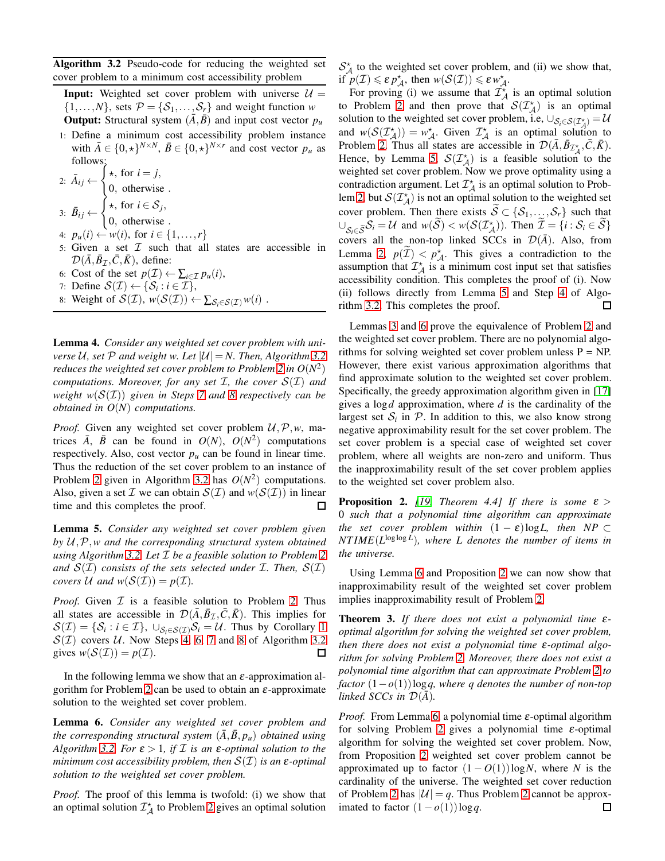<span id="page-5-0"></span>Algorithm 3.2 Pseudo-code for reducing the weighted set cover problem to a minimum cost accessibility problem

**Input:** Weighted set cover problem with universe  $U =$  $\{1,\ldots,N\}$ , sets  $\mathcal{P} = \{\mathcal{S}_1,\ldots,\mathcal{S}_r\}$  and weight function *w* **Output:** Structural system  $(\bar{A}, \bar{B})$  and input cost vector  $p_u$ 

1: Define a minimum cost accessibility problem instance with  $\bar{A} \in \{0, \star\}^{N \times N}$ ,  $\bar{B} \in \{0, \star\}^{N \times r}$  and cost vector  $p_u$  as follows:

2:  $\bar{A}_{ij} \leftarrow$  $\int^b$  \*, for  $i = j$ , 0, otherwise . 3:  $\bar{B}_{ij} \leftarrow$  $\int$  ★, for *i* ∈  $S_j$ , 0, otherwise .

- 4:  $p_u(i)$  ←  $w(i)$ , for  $i \in \{1, ..., r\}$
- 5: Given a set  $\mathcal I$  such that all states are accessible in  $\mathcal{D}(\bar{A}, \bar{B}_{\mathcal{I}}, \bar{C}, \bar{K})$ , define:
- 6: Cost of the set  $p(\mathcal{I}) \leftarrow \sum_{i \in \mathcal{I}} p_u(i)$ ,
- 7: Define  $\mathcal{S}(\mathcal{I}) \leftarrow \{\mathcal{S}_i : i \in \mathcal{I}\},\$
- 8: Weight of  $\mathcal{S}(\mathcal{I}), w(\mathcal{S}(\mathcal{I})) \leftarrow \sum_{\mathcal{S}_i \in \mathcal{S}(\mathcal{I})} w(i)$ .

Lemma 4. *Consider any weighted set cover problem with universe* U, set P and weight w. Let  $|U| = N$ . Then, Algorithm [3.2](#page-5-0) *reduces the weighted set cover problem to Problem [2](#page-3-1) in*  $O(N^2)$ *computations. Moreover, for any set* I*, the cover* S(I) *and weight*  $w(S(T))$  *given in Steps* [7](#page-5-0) *and* [8](#page-5-0) *respectively can be obtained in O*(*N*) *computations.*

*Proof.* Given any weighted set cover problem  $U, \mathcal{P}, w$ , matrices  $\overline{A}$ ,  $\overline{B}$  can be found in  $O(N)$ ,  $O(N^2)$  computations respectively. Also, cost vector  $p_u$  can be found in linear time. Thus the reduction of the set cover problem to an instance of Problem [2](#page-3-1) given in Algorithm [3.2](#page-5-0) has  $O(N^2)$  computations. Also, given a set  $\mathcal I$  we can obtain  $\mathcal S(\mathcal I)$  and  $w(\mathcal S(\mathcal I))$  in linear П time and this completes the proof.

<span id="page-5-1"></span>Lemma 5. *Consider any weighted set cover problem given by* U,P,*w and the corresponding structural system obtained using Algorithm [3.2.](#page-5-0) Let* I *be a feasible solution to Problem [2](#page-3-1)* and  $S(\mathcal{I})$  *consists of the sets selected under*  $\mathcal{I}$ *. Then,*  $S(\mathcal{I})$ *covers*  $U$  *and*  $w(S(\mathcal{I})) = p(\mathcal{I})$ *.* 

*Proof.* Given  $I$  is a feasible solution to Problem [2.](#page-3-1) Thus all states are accessible in  $\mathcal{D}(\bar{A}, \bar{B}_{\mathcal{I}}, \bar{C}, \bar{K})$ . This implies for  $\mathcal{S}(\mathcal{I}) = \{\mathcal{S}_i : i \in \mathcal{I}\}, \cup_{\mathcal{S}_i \in \mathcal{S}(\mathcal{I})} \mathcal{S}_i = \mathcal{U}.$  Thus by Corollary [1](#page-2-0)  $S(\mathcal{I})$  covers U. Now Steps [4, 6, 7](#page-5-0) and [8](#page-5-0) of Algorithm [3.2](#page-5-0) gives  $w(S(\mathcal{I})) = p(\mathcal{I}).$ ப

In the following lemma we show that an  $\varepsilon$ -approximation al-gorithm for Problem [2](#page-3-1) can be used to obtain an  $\varepsilon$ -approximate solution to the weighted set cover problem.

<span id="page-5-2"></span>Lemma 6. *Consider any weighted set cover problem and the corresponding structural system*  $(\bar{A}, \bar{B}, p_u)$  *obtained using Algorithm* [3.2.](#page-5-0) *For*  $\varepsilon > 1$ *, if*  $\mathcal I$  *is an*  $\varepsilon$ *-optimal solution to the minimum cost accessibility problem, then* S(I) *is an* <sup>ε</sup>*-optimal solution to the weighted set cover problem.*

*Proof.* The proof of this lemma is twofold: (i) we show that an optimal solution  $\mathcal{I}_{\mathcal{A}}^{\star}$  to Problem [2](#page-3-1) gives an optimal solution

 $S_A^*$  to the weighted set cover problem, and (ii) we show that, if  $p(\mathcal{I}) \leq \varepsilon p_{\mathcal{A}}^*$ , then  $w(\mathcal{S}(\mathcal{I})) \leq \varepsilon w_{\mathcal{A}}^*$ .

For proving (i) we assume that  $\mathcal{I}_{\mathcal{A}}^{\star}$  is an optimal solution to Problem [2](#page-3-1) and then prove that  $\mathcal{S}(\mathcal{I}_{\mathcal{A}}^{\star})$  is an optimal solution to the weighted set cover problem, i.e,  $\cup_{\mathcal{S}_i \in \mathcal{S}(\mathcal{I}_{\mathcal{A}}^{\star})} = \mathcal{U}$ and  $w(S(\mathcal{I}_{\mathcal{A}}^{\star})) = w_{\mathcal{A}}^{\star}$ . Given  $\mathcal{I}_{\mathcal{A}}^{\star}$  is an optimal solution to Problem [2.](#page-3-1) Thus all states are accessible in  $\mathcal{D}(\bar{A}, \bar{B}_{\mathcal{I}_{\mathcal{A}}^{\star}}, \bar{C}, \bar{K})$ . Hence, by Lemma [5,](#page-5-1)  $S(\mathcal{I}_{\mathcal{A}}^*)$  is a feasible solution to the weighted set cover problem. Now we prove optimality using a contradiction argument. Let  $\mathcal{I}_{\mathcal{A}}^{\star}$  is an optimal solution to Prob-lem [2,](#page-3-1) but  $\mathcal{S}(\mathcal{I}_{\mathcal{A}}^{\star})$  is not an optimal solution to the weighted set cover problem. Then there exists  $\widetilde{S} \subset \{S_1, \ldots, S_r\}$  such that  $\cup_{S_i \in \widetilde{S}} S_i = \mathcal{U}$  and  $w(S) < w(S(\mathcal{I}_{\mathcal{A}}^{\star}))$ . Then  $\mathcal{I} = \{i : S_i \in \widetilde{S}\}$ covers all the non-top linked SCCs in  $\mathcal{D}(\bar{A})$ . Also, from Lemma [2,](#page-4-0)  $p(\mathcal{I}) < p_{\mathcal{A}}^*$ . This gives a contradiction to the assumption that  $\mathcal{I}_{\mathcal{A}}^{\star}$  is a minimum cost input set that satisfies accessibility condition. This completes the proof of (i). Now (ii) follows directly from Lemma [5](#page-5-1) and Step [4](#page-5-0) of Algorithm [3.2.](#page-5-0) This completes the proof.  $\Box$ 

Lemmas [3](#page-4-1) and [6](#page-5-2) prove the equivalence of Problem [2](#page-3-1) and the weighted set cover problem. There are no polynomial algorithms for solving weighted set cover problem unless  $P = NP$ . However, there exist various approximation algorithms that find approximate solution to the weighted set cover problem. Specifically, the greedy approximation algorithm given in [\[17\]](#page-10-17) gives a log*d* approximation, where *d* is the cardinality of the largest set  $S_i$  in  $P$ . In addition to this, we also know strong negative approximability result for the set cover problem. The set cover problem is a special case of weighted set cover problem, where all weights are non-zero and uniform. Thus the inapproximability result of the set cover problem applies to the weighted set cover problem also.

<span id="page-5-3"></span>**Proposition 2.** *[\[19,](#page-10-19) Theorem 4.4] If there is some*  $\varepsilon$  > 0 *such that a polynomial time algorithm can approximate the set cover problem within*  $(1 - \varepsilon) \log L$ , then NP ⊂ *NT IME*(*L* loglog *L* )*, where L denotes the number of items in the universe.*

Using Lemma [6](#page-5-2) and Proposition [2](#page-5-3) we can now show that inapproximability result of the weighted set cover problem implies inapproximability result of Problem [2.](#page-3-1)

Theorem 3. *If there does not exist a polynomial time* <sup>ε</sup>*optimal algorithm for solving the weighted set cover problem, then there does not exist a polynomial time* <sup>ε</sup>*-optimal algorithm for solving Problem [2.](#page-3-1) Moreover, there does not exist a polynomial time algorithm that can approximate Problem [2](#page-3-1) to factor* (1−*o*(1))log*q, where q denotes the number of non-top linked SCCs in*  $\mathcal{D}(\bar{A})$ *.* 

*Proof.* From Lemma [6,](#page-5-2) a polynomial time ε-optimal algorithm for solving Problem [2](#page-3-1) gives a polynomial time  $\varepsilon$ -optimal algorithm for solving the weighted set cover problem. Now, from Proposition [2](#page-5-3) weighted set cover problem cannot be approximated up to factor  $(1 - O(1))\log N$ , where *N* is the cardinality of the universe. The weighted set cover reduction of Problem [2](#page-3-1) has  $|\mathcal{U}| = q$ . Thus Problem 2 cannot be approximated to factor  $(1-o(1))\log q$ . 口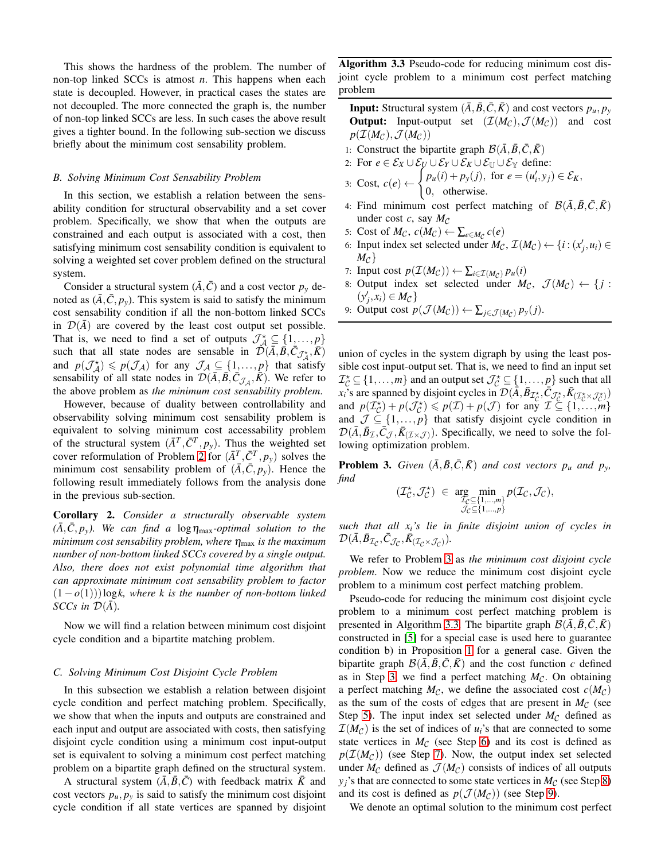This shows the hardness of the problem. The number of non-top linked SCCs is atmost *n*. This happens when each state is decoupled. However, in practical cases the states are not decoupled. The more connected the graph is, the number of non-top linked SCCs are less. In such cases the above result gives a tighter bound. In the following sub-section we discuss briefly about the minimum cost sensability problem.

## *B. Solving Minimum Cost Sensability Problem*

In this section, we establish a relation between the sensability condition for structural observability and a set cover problem. Specifically, we show that when the outputs are constrained and each output is associated with a cost, then satisfying minimum cost sensability condition is equivalent to solving a weighted set cover problem defined on the structural system.

Consider a structural system  $(\overline{A}, \overline{C})$  and a cost vector  $p_y$  denoted as  $(\bar{A}, \bar{C}, p_y)$ . This system is said to satisfy the minimum cost sensability condition if all the non-bottom linked SCCs in  $\mathcal{D}(A)$  are covered by the least cost output set possible. That is, we need to find a set of outputs  $\mathcal{J}_{\mathcal{A}}^{\star} \subseteq \{1, ..., p\}$ such that all state nodes are sensable in  $\tilde{\mathcal{D}}(\bar{A}, \bar{B}, \bar{C}_{\mathcal{J}^*_A}, \bar{K})$ and  $p(\mathcal{J}_\mathcal{A}^+) \leqslant p(\mathcal{J}_\mathcal{A})$  for any  $\mathcal{J}_\mathcal{A} \subseteq \{1, ..., p\}$  that satisfy sensability of all state nodes in  $\mathcal{D}(\bar{A}, \bar{B}, \bar{C}_{\mathcal{J}_{\mathcal{A}}}, \bar{K})$ . We refer to the above problem as *the minimum cost sensability problem*.

However, because of duality between controllability and observability solving minimum cost sensability problem is equivalent to solving minimum cost accessability problem of the structural system  $(\bar{A}^T, \bar{C}^T, p_y)$ . Thus the weighted set cover reformulation of Problem [2](#page-3-1) for  $(\bar{A}^T, \bar{C}^T, p_y)$  solves the minimum cost sensability problem of  $(\bar{A}, \bar{C}, p_y)$ . Hence the following result immediately follows from the analysis done in the previous sub-section.

<span id="page-6-2"></span>Corollary 2. *Consider a structurally observable system*  $(\overline{A}, \overline{C}, p_y)$ . We can find a log  $\eta_{\text{max}}$ -optimal solution to the *minimum cost sensability problem, where*  $η<sub>max</sub>$  *is the maximum number of non-bottom linked SCCs covered by a single output. Also, there does not exist polynomial time algorithm that can approximate minimum cost sensability problem to factor* (1−*o*(1)))log*k, where k is the number of non-bottom linked SCCs in*  $\mathcal{D}(\bar{A})$ *.* 

Now we will find a relation between minimum cost disjoint cycle condition and a bipartite matching problem.

# *C. Solving Minimum Cost Disjoint Cycle Problem*

In this subsection we establish a relation between disjoint cycle condition and perfect matching problem. Specifically, we show that when the inputs and outputs are constrained and each input and output are associated with costs, then satisfying disjoint cycle condition using a minimum cost input-output set is equivalent to solving a minimum cost perfect matching problem on a bipartite graph defined on the structural system.

A structural system  $(\overline{A}, \overline{B}, \overline{C})$  with feedback matrix  $\overline{K}$  and cost vectors  $p_u, p_v$  is said to satisfy the minimum cost disjoint cycle condition if all state vertices are spanned by disjoint <span id="page-6-1"></span>Algorithm 3.3 Pseudo-code for reducing minimum cost disjoint cycle problem to a minimum cost perfect matching problem

**Input:** Structural system  $(\bar{A}, \bar{B}, \bar{C}, \bar{K})$  and cost vectors  $p_u, p_v$ **Output:** Input-output set  $(\mathcal{I}(M_{\mathcal{C}}), \mathcal{J}(M_{\mathcal{C}}))$  and cost  $p(\mathcal{I}(M_{\mathcal{C}}), \mathcal{J}(M_{\mathcal{C}}))$ 

- 1: Construct the bipartite graph  $\mathcal{B}(\bar{A}, \bar{B}, \bar{C}, \bar{K})$
- 2: For  $e \in \mathcal{E}_X \cup \mathcal{E}_U \cup \mathcal{E}_Y \cup \mathcal{E}_K \cup \mathcal{E}_{\mathbb{U}} \cup \mathcal{E}_{\mathbb{Y}}$  define:<br>2. Cest s(s)  $\int p_u(i) + p_y(j)$ , for  $e = (u'_i, y_j)$

3: Cost, 
$$
c(e) \leftarrow \begin{cases} p_u(i) + p_y(j), \text{ for } e = (u'_i, y_j) \in \mathcal{E}_K, \\ 0, \text{ otherwise.} \end{cases}
$$

- 4: Find minimum cost perfect matching of  $\mathcal{B}(\bar{A}, \bar{B}, \bar{C}, \bar{K})$ under cost  $c$ , say  $M_C$
- 5: Cost of  $M_{\mathcal{C}}$ ,  $c(M_{\mathcal{C}}) \leftarrow \sum_{e \in M_{\mathcal{C}}} c(e)$
- 6: Input index set selected under  $M_{\mathcal{C}}$ ,  $\mathcal{I}(M_{\mathcal{C}}) \leftarrow \{i : (x'_j, u_i) \in$  $M_{\mathcal{C}}\}$
- 7: Input cost  $p(\mathcal{I}(M_{\mathcal{C}})) \leftarrow \sum_{i \in \mathcal{I}(M_{\mathcal{C}})} p_u(i)$
- 8: Output index set selected under  $M_{\mathcal{C}}$ ,  $\mathcal{J}(M_{\mathcal{C}}) \leftarrow \{j :$  $(y'_j, x_i) \in M_{\mathcal{C}}\}$
- 9: Output cost  $p(\mathcal{J}(M_{\mathcal{C}})) \leftarrow \sum_{j \in \mathcal{J}(M_{\mathcal{C}})} p_{y}(j)$ .

union of cycles in the system digraph by using the least possible cost input-output set. That is, we need to find an input set  $\mathcal{I}_{\mathcal{C}}^{\star} \subseteq \{1, \ldots, m\}$  and an output set  $\mathcal{J}_{\mathcal{C}}^{\star} \subseteq \{1, \ldots, p\}$  such that all  $x_i$ 's are spanned by disjoint cycles in  $\mathcal{D}(\tilde{A}, \tilde{B}_{\mathcal{I}_C^*}, \tilde{C}_{\tilde{\mathcal{J}}_C^*}, \tilde{K}_{(\mathcal{I}_C^* \times \mathcal{J}_C^*)})$ and  $p(\mathcal{I}_{\mathcal{C}}^{*}) + p(\mathcal{J}_{\mathcal{C}}^{*}) \leq p(\mathcal{I}) + p(\mathcal{J})$  for any  $\mathcal{I} \subseteq \{1, ..., m\}$ and  $\mathcal{J} \subseteq \{1, \ldots, p\}$  that satisfy disjoint cycle condition in  $\mathcal{D}(\bar{A}, \bar{B}_{\mathcal{I}}, \bar{C}_{\mathcal{J}}, \bar{K}_{(\mathcal{I} \times \mathcal{J})})$ . Specifically, we need to solve the following optimization problem.

<span id="page-6-0"></span>**Problem 3.** *Given*  $(\bar{A}, \bar{B}, \bar{C}, \bar{K})$  *and cost vectors*  $p_u$  *and*  $p_y$ *, find*

 $(\mathcal{I}_{\mathcal{C}}^{\star}% (\mathcal{C}_{\mathcal{C}}^{\ast}(\mathcal{C})\mathcal{C}_{\mathcal{C}}^{\ast}(\mathcal{C}))$ 

$$
\mathcal{J}_{\mathcal{C}}^{\star}) \in \underset{\mathcal{J}_{\mathcal{C}} \subseteq \{1,\ldots,m\}}{\arg \min} p(\mathcal{I}_{\mathcal{C}}, \mathcal{J}_{\mathcal{C}}),
$$
  

$$
\mathcal{J}_{\mathcal{C}} \subseteq \{1,\ldots,p\}
$$

*such that all xi's lie in finite disjoint union of cycles in*  $\mathcal{D}(\bar{A}, \bar{B}_{\mathcal{I}_{\mathcal{C}}}, \bar{C}_{\mathcal{J}_{\mathcal{C}}}, \bar{K}_{(\mathcal{I}_{\mathcal{C}}\times\mathcal{J}_{\mathcal{C}})}).$ 

We refer to Problem [3](#page-6-0) as *the minimum cost disjoint cycle problem*. Now we reduce the minimum cost disjoint cycle problem to a minimum cost perfect matching problem.

Pseudo-code for reducing the minimum cost disjoint cycle problem to a minimum cost perfect matching problem is presented in Algorithm [3.3.](#page-6-1) The bipartite graph  $\mathcal{B}(A, B, C, K)$ constructed in [\[5\]](#page-10-5) for a special case is used here to guarantee condition b) in Proposition [1](#page-1-2) for a general case. Given the bipartite graph  $\mathcal{B}(\bar{A}, \bar{B}, \bar{C}, \bar{K})$  and the cost function *c* defined as in Step [3,](#page-6-1) we find a perfect matching  $M_{\mathcal{C}}$ . On obtaining a perfect matching  $M_{\mathcal{C}}$ , we define the associated cost  $c(M_{\mathcal{C}})$ as the sum of the costs of edges that are present in  $M_C$  (see Step [5\)](#page-6-1). The input index set selected under  $M_C$  defined as  $\mathcal{I}(M_{\mathcal{C}})$  is the set of indices of  $u_i$ 's that are connected to some state vertices in  $M_C$  (see Step [6\)](#page-6-1) and its cost is defined as  $p(\mathcal{I}(M_C))$  (see Step [7\)](#page-6-1). Now, the output index set selected under  $M_C$  defined as  $\mathcal{J}(M_C)$  consists of indices of all outputs  $y_j$ 's that are connected to some state vertices in  $M_C$  (see Step [8\)](#page-6-1) and its cost is defined as  $p(\mathcal{J}(M_{\mathcal{C}}))$  (see Step [9\)](#page-6-1).

We denote an optimal solution to the minimum cost perfect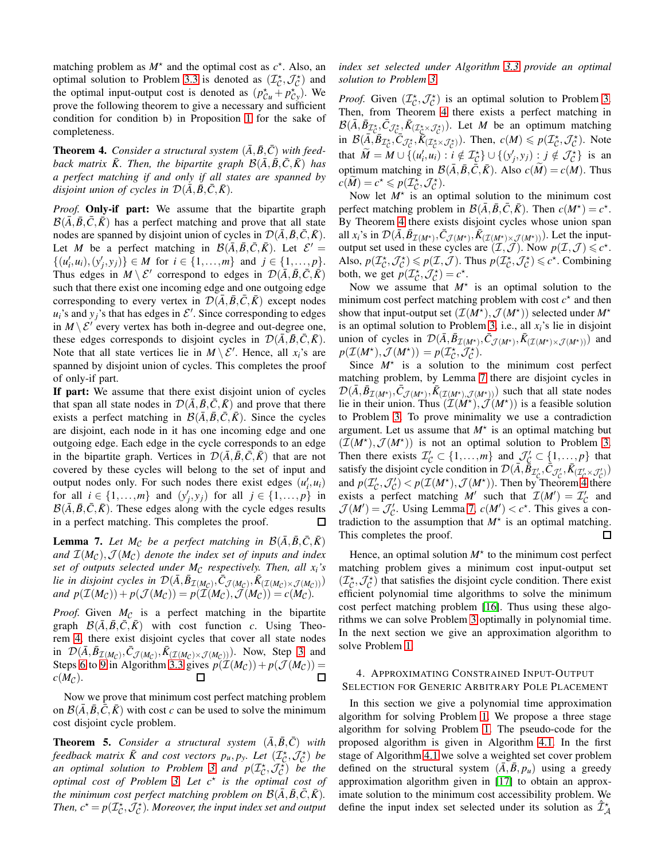matching problem as  $M^*$  and the optimal cost as  $c^*$ . Also, an optimal solution to Problem [3.3](#page-6-1) is denoted as  $(\mathcal{I}_{\mathcal{C}}^{\star}, \mathcal{J}_{\mathcal{C}}^{\star})$  and the optimal input-output cost is denoted as  $(p_{\mathcal{C}u}^* + p_{\mathcal{C}y}^*)$ . We prove the following theorem to give a necessary and sufficient condition for condition b) in Proposition [1](#page-1-2) for the sake of completeness.

<span id="page-7-1"></span>**Theorem 4.** Consider a structural system  $(\bar{A}, \bar{B}, \bar{C})$  with feed*back matrix*  $\bar{K}$ . Then, the bipartite graph  $\mathcal{B}(\bar{A}, \bar{B}, \bar{C}, \bar{K})$  has *a perfect matching if and only if all states are spanned by disjoint union of cycles in*  $\mathcal{D}(\bar{A}, \bar{B}, \bar{C}, \bar{K})$ *.* 

*Proof.* Only-if part: We assume that the bipartite graph  $\mathcal{B}(\bar{A}, \bar{B}, \bar{C}, \bar{K})$  has a perfect matching and prove that all state nodes are spanned by disjoint union of cycles in  $\mathcal{D}(\bar{A}, \bar{B}, \bar{C}, \bar{K})$ . Let *M* be a perfect matching in  $\mathcal{B}(\overline{A}, \overline{B}, \overline{C}, \overline{K})$ . Let  $\mathcal{E}' =$  $\{(u'_i, u_i), (y'_j, y_j)\}\in M$  for  $i \in \{1, ..., m\}$  and  $j \in \{1, ..., p\}.$ Thus edges in  $M \setminus \mathcal{E}'$  correspond to edges in  $\mathcal{D}(\bar{A}, \bar{B}, \bar{C}, \bar{K})$ such that there exist one incoming edge and one outgoing edge corresponding to every vertex in  $\mathcal{D}(\bar{A}, \bar{B}, \bar{C}, \bar{K})$  except nodes  $u_i$ 's and  $y_j$ 's that has edges in  $\mathcal{E}'$ . Since corresponding to edges in  $M \setminus \mathcal{E}'$  every vertex has both in-degree and out-degree one, these edges corresponds to disjoint cycles in  $\mathcal{D}(\bar{A}, \bar{B}, \bar{C}, \bar{K})$ . Note that all state vertices lie in  $M \setminus \mathcal{E}'$ . Hence, all  $x_i$ 's are spanned by disjoint union of cycles. This completes the proof of only-if part.

If part: We assume that there exist disjoint union of cycles that span all state nodes in  $\mathcal{D}(\bar{A}, \bar{B}, \bar{C}, \bar{K})$  and prove that there exists a perfect matching in  $\mathcal{B}(\bar{A}, \bar{B}, \bar{C}, \bar{K})$ . Since the cycles are disjoint, each node in it has one incoming edge and one outgoing edge. Each edge in the cycle corresponds to an edge in the bipartite graph. Vertices in  $\mathcal{D}(\bar{A}, \bar{B}, \bar{C}, \bar{K})$  that are not covered by these cycles will belong to the set of input and output nodes only. For such nodes there exist edges  $(u'_i, u_i)$ for all  $i \in \{1, \ldots, m\}$  and  $(y'_j, y_j)$  for all  $j \in \{1, \ldots, p\}$  in  $\mathcal{B}(\bar{A}, \bar{B}, \bar{C}, \bar{K})$ . These edges along with the cycle edges results in a perfect matching. This completes the proof.  $\Box$ 

<span id="page-7-2"></span>**Lemma 7.** Let  $M_{\mathcal{C}}$  be a perfect matching in  $\mathcal{B}(\bar{A}, \bar{B}, \bar{C}, \bar{K})$ and  $\mathcal{I}(M_{\mathcal{C}}), \mathcal{J}(M_{\mathcal{C}})$  *denote the index set of inputs and index set of outputs selected under M<sub>C</sub> respectively. Then, all*  $x_i$ *'s lie in disjoint cycles in*  $\mathcal{D}(\bar{A}, \bar{B}_{\mathcal{I}(M_{\mathcal{C}})}, \bar{C}_{\mathcal{J}(M_{\mathcal{C}})}, \bar{K}_{(\mathcal{I}(M_{\mathcal{C}}) \times \mathcal{J}(M_{\mathcal{C}}))})$  $and p(\mathcal{I}(M_{\mathcal{C}})) + p(\mathcal{J}(M_{\mathcal{C}})) = p(\mathcal{I}(M_{\mathcal{C}}), \mathcal{J}(M_{\mathcal{C}})) = c(M_{\mathcal{C}}).$ 

*Proof.* Given  $M_{\mathcal{C}}$  is a perfect matching in the bipartite graph  $\mathcal{B}(\overline{A}, \overline{B}, \overline{C}, \overline{K})$  with cost function *c*. Using Theorem [4,](#page-7-1) there exist disjoint cycles that cover all state nodes in  $\mathcal{D}(\bar{A}, \bar{B}_{\mathcal{I}(M_{\mathcal{C}})}, \bar{C}_{\mathcal{J}(M_{\mathcal{C}})}, \bar{K}_{(\mathcal{I}(M_{\mathcal{C}})\times \mathcal{J}(M_{\mathcal{C}})))})$ . Now, Step [3](#page-6-1) and Steps [6](#page-6-1) to [9](#page-6-1) in Algorithm [3.3](#page-6-1) gives  $p(\mathcal{I}(M_{\mathcal{C}})) + p(\mathcal{J}(M_{\mathcal{C}})) =$  $c(M_C)$ .  $\Box$ 

Now we prove that minimum cost perfect matching problem on  $\mathcal{B}(\overline{A}, \overline{B}, \overline{C}, \overline{K})$  with cost *c* can be used to solve the minimum cost disjoint cycle problem.

**Theorem 5.** *Consider a structural system*  $(\bar{A}, \bar{B}, \bar{C})$  *with feedback matrix*  $\bar{K}$  and cost vectors  $p_u, p_y$ . Let  $(\mathcal{I}_{\mathcal{C}}^{\star}, \mathcal{J}_{\mathcal{C}}^{\star})$  be *an optimal solution to Problem [3](#page-6-0) and*  $p(\mathcal{I}_{\mathcal{C}}^{\star}, \mathcal{J}_{\mathcal{C}}^{\star})$  *be the optimal cost of Problem [3.](#page-6-0) Let c*<sup>⋆</sup> *is the optimal cost of the minimum cost perfect matching problem on*  $\mathcal{B}(\overline{A}, \overline{B}, \overline{C}, \overline{K})$ *. Then,*  $c^* = p(\mathcal{I}_{\mathcal{C}}^*, \mathcal{J}_{\mathcal{C}}^*)$ *. Moreover, the input index set and output*  *index set selected under Algorithm [3.3](#page-6-1) provide an optimal solution to Problem [3.](#page-6-0)*

*Proof.* Given  $(\mathcal{I}_{\mathcal{C}}^{\star}, \mathcal{J}_{\mathcal{C}}^{\star})$  is an optimal solution to Problem [3.](#page-6-0) Then, from Theorem [4](#page-7-1) there exists a perfect matching in  $\mathcal{B}(\bar{A}, \bar{B}_{\mathcal{I}_{C}^*}, \bar{C}_{\mathcal{J}_{C}^*}, \bar{K}_{(\mathcal{I}_{C}^*\times \mathcal{J}_{C}^*)})$ . Let *M* be an optimum matching in  $\mathcal{B}(\overline{A}, \overline{B}_{\mathcal{I}_{\mathcal{C}}}^*, \overline{C}_{\mathcal{J}_{\mathcal{C}}}^*, \overline{K}_{(\mathcal{I}_{\mathcal{C}}^* \times \mathcal{J}_{\mathcal{C}}^*)}$ . Then,  $c(M) \leq p(\mathcal{I}_{\mathcal{C}}^*, \mathcal{J}_{\mathcal{C}}^*)$ . Note that  $\widetilde{M} = M \cup \{ (u'_i, u_i) : i \notin \mathcal{I}_C^{\star} \} \cup \{ (y'_j, y_j) : j \notin \mathcal{J}_C^{\star} \}$  is an optimum matching in  $\mathcal{B}(\bar{A}, \bar{B}, \bar{C}, \bar{K})$ . Also  $c(\tilde{M}) = c(M)$ . Thus  $c(\widetilde{M}) = c^* \leqslant p(\mathcal{I}_{\mathcal{C}}^*, \mathcal{J}_{\mathcal{C}}^*).$ 

Now let  $M^*$  is an optimal solution to the minimum cost perfect matching problem in  $\mathcal{B}(\bar{A}, \bar{B}, \bar{C}, \bar{K})$ . Then  $c(M^*) = c^*$ . By Theorem [4](#page-7-1) there exists disjoint cycles whose union span all  $x_i$ 's in  $\mathcal{D}(\bar{A}, \bar{B}_{\mathcal{I}(M^*)}, \bar{C}_{\mathcal{J}(M^*)}, \bar{K}_{(\mathcal{I}(M^*) \times \mathcal{J}(M^*))})$ . Let the inputoutput set used in these cycles are  $(\mathcal{I}, \mathcal{J})$ . Now  $p(\mathcal{I}, \mathcal{J}) \leq c^*$ . Also,  $p(\mathcal{I}_{\mathcal{C}}^{\star},\mathcal{J}_{\mathcal{C}}^{\star}) \leqslant p(\mathcal{I},\mathcal{J})$ . Thus  $p(\mathcal{I}_{\mathcal{C}}^{\star},\mathcal{J}_{\mathcal{C}}^{\star}) \leqslant c^{\star}$ . Combining both, we get  $p(\mathcal{I}_{\mathcal{C}}^*, \mathcal{J}_{\mathcal{C}}^*) = c^*$ .

Now we assume that  $M^*$  is an optimal solution to the minimum cost perfect matching problem with cost  $c^*$  and then show that input-output set  $(\mathcal{I}(M^{\star}), \mathcal{J}(M^{\star}))$  selected under  $M^{\star}$ is an optimal solution to Problem [3,](#page-6-0) i.e., all  $x_i$ 's lie in disjoint union of cycles in  $\mathcal{D}(\bar{A}, \bar{B}_{\mathcal{I}(M^*)}, \bar{C}_{\mathcal{J}(M^*)}, \bar{K}_{(\mathcal{I}(M^*)\times \mathcal{J}(M^*))})$  and  $p(\mathcal{I}(M^{\star}), \mathcal{J}(M^{\star})) = p(\mathcal{I}_{\mathcal{C}}^{\star}, \mathcal{J}_{\mathcal{C}}^{\star}).$ 

Since  $M^*$  is a solution to the minimum cost perfect matching problem, by Lemma [7](#page-7-2) there are disjoint cycles in  $\mathcal{D}(\bar{A}, \bar{B}_{\mathcal{I}(M^*)}, \bar{C}_{\mathcal{J}(M^*)}, \bar{K}_{(\mathcal{I}(M^*)}, \mathcal{J}(M^*))$  such that all state nodes lie in their union. Thus  $(\mathcal{I}(\hat{M}^{\star}), \mathcal{J}(M^{\star}))$  is a feasible solution to Problem [3.](#page-6-0) To prove minimality we use a contradiction argument. Let us assume that  $M^*$  is an optimal matching but  $(\mathcal{I}(M^{\star}), \mathcal{J}(M^{\star}))$  is not an optimal solution to Problem [3.](#page-6-0) Then there exists  $\mathcal{I}'_{\mathcal{C}} \subset \{1, \ldots, m\}$  and  $\mathcal{I}'_{\mathcal{C}} \subset \{1, \ldots, p\}$  that satisfy the disjoint cycle condition in  $\mathcal{D}(\bar{A}, \bar{B}_{\mathcal{I}'_c}, \bar{C}_{\mathcal{J}'_c}, \bar{K}_{(\mathcal{I}'_c \times \mathcal{J}'_c)})$ and  $p(\mathcal{I}'_{\mathcal{C}},\mathcal{J}'_{\mathcal{C}}) < p(\mathcal{I}(M^*),\mathcal{J}(M^*))$ . Then by Theorem [4](#page-7-1) there exists a perfect matching *M'* such that  $\mathcal{I}(M') = \mathcal{I}'_C$  and  $\mathcal{J}(M') = \mathcal{J}'_c$ . Using Lemma [7,](#page-7-2)  $c(M') < c^*$ . This gives a contradiction to the assumption that  $M^*$  is an optimal matching. This completes the proof. □

Hence, an optimal solution  $M^*$  to the minimum cost perfect matching problem gives a minimum cost input-output set  $(\mathcal{I}_{\mathcal{C}}^{\star},\mathcal{J}_{\mathcal{C}}^{\star})$  that satisfies the disjoint cycle condition. There exist efficient polynomial time algorithms to solve the minimum cost perfect matching problem [\[16\]](#page-10-16). Thus using these algorithms we can solve Problem [3](#page-6-0) optimally in polynomial time. In the next section we give an approximation algorithm to solve Problem [1.](#page-0-1)

# <span id="page-7-0"></span>4. APPROXIMATING CONSTRAINED INPUT-OUTPUT SELECTION FOR GENERIC ARBITRARY POLE PLACEMENT

In this section we give a polynomial time approximation algorithm for solving Problem [1.](#page-0-1) We propose a three stage algorithm for solving Problem [1.](#page-0-1) The pseudo-code for the proposed algorithm is given in Algorithm [4.1.](#page-8-0) In the first stage of Algorithm [4.1](#page-8-0) we solve a weighted set cover problem defined on the structural system  $(A, B, p_u)$  using a greedy approximation algorithm given in [\[17\]](#page-10-17) to obtain an approximate solution to the minimum cost accessibility problem. We define the input index set selected under its solution as  $\hat{\mathcal{I}}^{\star}_{\mathcal{A}}$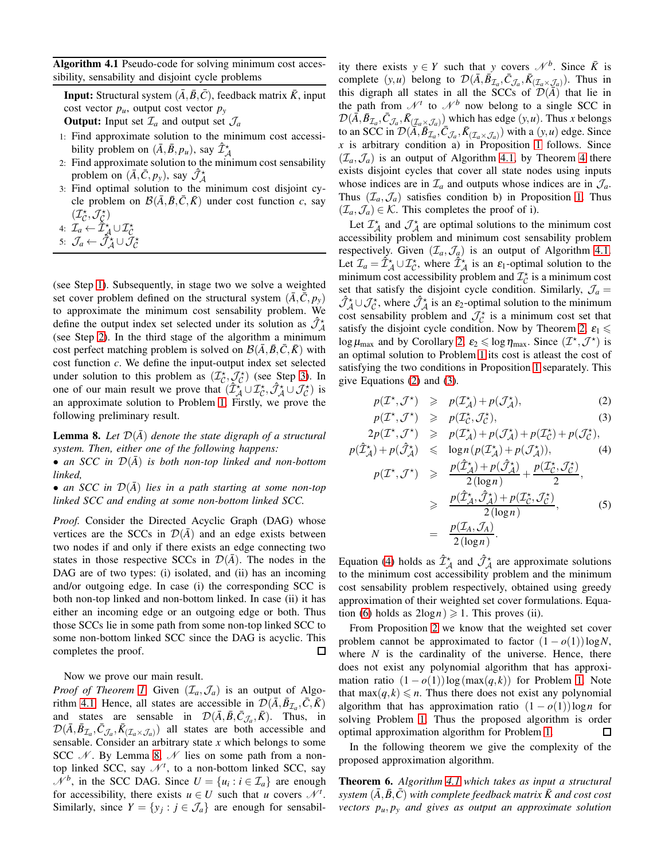<span id="page-8-0"></span>Algorithm 4.1 Pseudo-code for solving minimum cost accessibility, sensability and disjoint cycle problems

**Input:** Structural system  $(\overline{A}, \overline{B}, \overline{C})$ , feedback matrix  $\overline{K}$ , input cost vector  $p_u$ , output cost vector  $p_v$ **Output:** Input set  $\mathcal{I}_a$  and output set  $\mathcal{J}_a$ 

- 1: Find approximate solution to the minimum cost accessibility problem on  $(\bar{A}, \bar{B}, p_u)$ , say  $\hat{\mathcal{I}}^*_{\mathcal{A}}$
- 2: Find approximate solution to the minimum cost sensability problem on  $(\bar{A}, \bar{C}, p_y)$ , say  $\hat{\mathcal{J}}^*_{\mathcal{A}}$
- 3: Find optimal solution to the minimum cost disjoint cycle problem on  $\mathcal{B}(\bar{A}, \bar{B}, \bar{C}, \bar{K})$  under cost function *c*, say  $(\mathcal{I}_{\mathcal{C}}^{\star},\mathcal{J}_{\mathcal{C}}^{\star})$

4: 
$$
\mathcal{I}_a \leftarrow \tilde{\mathcal{I}}_{\mathcal{A}}^{\star} \cup \mathcal{I}_{\mathcal{C}}^{\star}
$$

5: 
$$
\mathcal{J}_a \leftarrow \check{\mathcal{J}}^{\star}_{\mathcal{A}} \cup \check{\mathcal{J}}^{\star}_{\mathcal{C}}
$$

(see Step [1\)](#page-8-0). Subsequently, in stage two we solve a weighted set cover problem defined on the structural system  $(\bar{A}, \bar{C}, p_y)$ to approximate the minimum cost sensability problem. We define the output index set selected under its solution as  $\hat{\mathcal{J}}_{\mathcal{A}}^*$ (see Step [2\)](#page-8-0). In the third stage of the algorithm a minimum cost perfect matching problem is solved on  $\mathcal{B}(\overline{A}, \overline{B}, \overline{C}, \overline{K})$  with cost function *c*. We define the input-output index set selected under solution to this problem as  $(\mathcal{I}_c^*, \mathcal{J}_c^*)$  (see Step [3\)](#page-8-0). In one of our main result we prove that  $(\hat{\mathcal{I}}_{\mathcal{A}}^{\star} \cup \mathcal{I}_{\mathcal{C}}^{\star}, \hat{\mathcal{J}}_{\mathcal{A}}^{\star} \cup \mathcal{J}_{\mathcal{C}}^{\star})$  is an approximate solution to Problem [1.](#page-0-1) Firstly, we prove the following preliminary result.

<span id="page-8-1"></span>**Lemma 8.** Let  $\mathcal{D}(\bar{A})$  denote the state digraph of a structural *system. Then, either one of the following happens:*

• an SCC in  $\mathcal{D}(\overline{A})$  is both non-top linked and non-bottom *linked,*

• an SCC in  $\mathcal{D}(\overline{A})$  lies in a path starting at some non-top *linked SCC and ending at some non-bottom linked SCC.*

*Proof.* Consider the Directed Acyclic Graph (DAG) whose vertices are the SCCs in  $\mathcal{D}(\overline{A})$  and an edge exists between two nodes if and only if there exists an edge connecting two states in those respective SCCs in  $\mathcal{D}(\bar{A})$ . The nodes in the DAG are of two types: (i) isolated, and (ii) has an incoming and/or outgoing edge. In case (i) the corresponding SCC is both non-top linked and non-bottom linked. In case (ii) it has either an incoming edge or an outgoing edge or both. Thus those SCCs lie in some path from some non-top linked SCC to some non-bottom linked SCC since the DAG is acyclic. This completes the proof. □

Now we prove our main result.

*Proof of Theorem [1](#page-0-2)*: Given  $(\mathcal{I}_a, \mathcal{J}_a)$  is an output of Algo-rithm [4.1.](#page-8-0) Hence, all states are accessible in  $\mathcal{D}(\bar{A}, \bar{B}_{\mathcal{I}_a}, \bar{C}, \bar{K})$ and states are sensable in  $\mathcal{D}(\bar{A}, \bar{B}, \bar{C}_{\mathcal{J}_a}, \bar{K})$ . Thus, in  $\mathcal{D}(\bar{A}, \bar{B}_{\mathcal{I}_a}, \bar{C}_{\mathcal{J}_a}, \bar{K}_{(\mathcal{I}_a \times \mathcal{J}_a)})$  all states are both accessible and sensable. Consider an arbitrary state *x* which belongs to some SCC  $\mathcal N$ . By Lemma [8,](#page-8-1)  $\mathcal N$  lies on some path from a nontop linked SCC, say  $\mathcal{N}^t$ , to a non-bottom linked SCC, say  $\mathcal{N}^b$ , in the SCC DAG. Since  $U = \{u_i : i \in \mathcal{I}_a\}$  are enough for accessibility, there exists  $u \in U$  such that *u* covers  $\mathcal{N}^t$ . Similarly, since  $Y = \{y_j : j \in \mathcal{J}_a\}$  are enough for sensabil-

ity there exists  $y \in Y$  such that *y* covers  $\mathcal{N}^b$ . Since  $\overline{K}$  is complete  $(y, u)$  belong to  $\mathcal{D}(\bar{A}, \bar{B}_{\mathcal{I}_a}, \bar{C}_{\mathcal{J}_a}, \bar{K}_{(\mathcal{I}_a \times \mathcal{J}_a)})$ . Thus in this digraph all states in all the SCCs of  $\mathcal{D}(\bar{A})$  that lie in the path from  $\mathcal{N}^t$  to  $\mathcal{N}^b$  now belong to a single SCC in  $\mathcal{D}(\bar{A}, \bar{B}_{\mathcal{I}_a}, \bar{C}_{\mathcal{J}_a}, \bar{K}_{(\mathcal{I}_a \times \mathcal{J}_a)})$  which has edge  $(y, u)$ . Thus *x* belongs to an SCC in  $\mathcal{D}(\overline{A}, \overline{B}_{\mathcal{I}_a}^{\bullet}, \overline{C}_{\mathcal{J}_a}, \overline{K}_{(\mathcal{I}_a \times \mathcal{J}_a)})$  with a  $(y, u)$  edge. Since *x* is arbitrary condition a) in Proposition [1](#page-1-2) follows. Since  $(\mathcal{I}_a, \mathcal{J}_a)$  is an output of Algorithm [4.1,](#page-8-0) by Theorem [4](#page-7-1) there exists disjoint cycles that cover all state nodes using inputs whose indices are in  $\mathcal{I}_a$  and outputs whose indices are in  $\mathcal{I}_a$ . Thus  $(\mathcal{I}_a, \mathcal{J}_a)$  satisfies condition b) in Proposition [1.](#page-1-2) Thus  $(\mathcal{I}_a, \mathcal{J}_a) \in \mathcal{K}$ . This completes the proof of i).

Let  $\mathcal{I}_{\mathcal{A}}^{\star}$  and  $\mathcal{J}_{\mathcal{A}}^{\star}$  are optimal solutions to the minimum cost accessibility problem and minimum cost sensability problem respectively. Given  $(\mathcal{I}_a, \mathcal{J}_a)$  is an output of Algorithm [4.1.](#page-8-0) Let  $\mathcal{I}_a = \hat{\mathcal{I}}^{\star}_{\mathcal{A}} \cup \mathcal{I}^{\star}_{\mathcal{C}}$ , where  $\hat{\mathcal{I}}^{\star}_{\mathcal{A}}$  is an  $\varepsilon_1$ -optimal solution to the minimum cost accessibility problem and  $\mathcal{I}_{\mathcal{C}}^{\star}$  is a minimum cost set that satisfy the disjoint cycle condition. Similarly,  $\mathcal{J}_a$  =  $\hat{J}_{\mathcal{A}}^{\star} \cup \mathcal{J}_{\mathcal{C}}^{\star}$ , where  $\hat{J}_{\mathcal{A}}^{\star}$  is an  $\varepsilon_2$ -optimal solution to the minimum cost sensability problem and  $\mathcal{J}_{\mathcal{C}}^{\star}$  is a minimum cost set that satisfy the disjoint cycle condition. Now by Theorem [2,](#page-4-2)  $\varepsilon_1 \leq$  $\log \mu_{\text{max}}$  and by Corollary [2,](#page-6-2)  $\varepsilon_2 \leq \log \eta_{\text{max}}$ . Since  $(\mathcal{I}^\star, \mathcal{J}^\star)$  is an optimal solution to Problem [1](#page-0-1) its cost is atleast the cost of satisfying the two conditions in Proposition [1](#page-1-2) separately. This give Equations [\(2\)](#page-8-2) and [\(3\)](#page-8-2).

<span id="page-8-2"></span>
$$
p(\mathcal{I}^\star, \mathcal{J}^\star) \geqslant p(\mathcal{I}_\mathcal{A}^\star) + p(\mathcal{J}_\mathcal{A}^\star), \tag{2}
$$

$$
p(\mathcal{I}^*, \mathcal{J}^*) \geqslant p(\mathcal{I}_{\mathcal{C}}^*, \mathcal{J}_{\mathcal{C}}^*)
$$
\n<sup>(3)</sup>

$$
2p(\mathcal{I}^*, \mathcal{J}^*) \geqslant p(\mathcal{I}_{\mathcal{A}}^*) + p(\mathcal{J}_{\mathcal{A}}^*) + p(\mathcal{I}_{\mathcal{C}}^*) + p(\mathcal{J}_{\mathcal{C}}^*),
$$
  
\n
$$
p(\hat{\mathcal{I}}_{\mathcal{A}}^*) + p(\hat{\mathcal{J}}_{\mathcal{A}}^*) \leqslant \log n (p(\mathcal{I}_{\mathcal{A}}^*) + p(\mathcal{J}_{\mathcal{A}}^*)), \qquad (4)
$$
  
\n
$$
p(\mathcal{I}^*, \mathcal{J}^*) \geqslant \frac{p(\hat{\mathcal{I}}_{\mathcal{A}}^*) + p(\hat{\mathcal{J}}_{\mathcal{A}}^*)}{2(\log n)} + \frac{p(\mathcal{I}_{\mathcal{C}}^*, \mathcal{J}_{\mathcal{C}}^*)}{2},
$$
  
\n
$$
\geqslant \frac{p(\hat{\mathcal{I}}_{\mathcal{A}}^*, \hat{\mathcal{J}}_{\mathcal{A}}^*) + p(\mathcal{I}_{\mathcal{C}}^*, \mathcal{J}_{\mathcal{C}}^*)}{2(\log n)}, \qquad (5)
$$
  
\n
$$
= \frac{p(\mathcal{I}_{\mathcal{A}}, \mathcal{J}_{\mathcal{A}})}{2}.
$$

$$
\frac{P(\square A, \square A)}{2(\log n)}.
$$

Equation [\(4\)](#page-8-2) holds as  $\hat{\mathcal{I}}^{\star}_{\mathcal{A}}$  and  $\hat{\mathcal{J}}^{\star}_{\mathcal{A}}$  are approximate solutions to the minimum cost accessibility problem and the minimum cost sensability problem respectively, obtained using greedy approximation of their weighted set cover formulations. Equa-tion [\(6\)](#page-8-2) holds as  $2\log n \geq 1$ . This proves (ii).

From Proposition [2](#page-5-3) we know that the weighted set cover problem cannot be approximated to factor  $(1 - o(1))\log N$ , where  $N$  is the cardinality of the universe. Hence, there does not exist any polynomial algorithm that has approximation ratio  $(1 - o(1))\log(\max(q, k))$  for Problem [1.](#page-0-1) Note that  $\max(q, k) \leq n$ . Thus there does not exist any polynomial algorithm that has approximation ratio  $(1 - o(1))\log n$  for solving Problem [1.](#page-0-1) Thus the proposed algorithm is order optimal approximation algorithm for Problem [1.](#page-0-1)  $\Box$ 

In the following theorem we give the complexity of the proposed approximation algorithm.

Theorem 6. *Algorithm [4.1](#page-8-0) which takes as input a structural*  $s$ ystem  $(\bar{A}, \bar{B}, \bar{C})$  with complete feedback matrix  $\bar{K}$  and cost cost *vectors pu*, *p<sup>y</sup> and gives as output an approximate solution*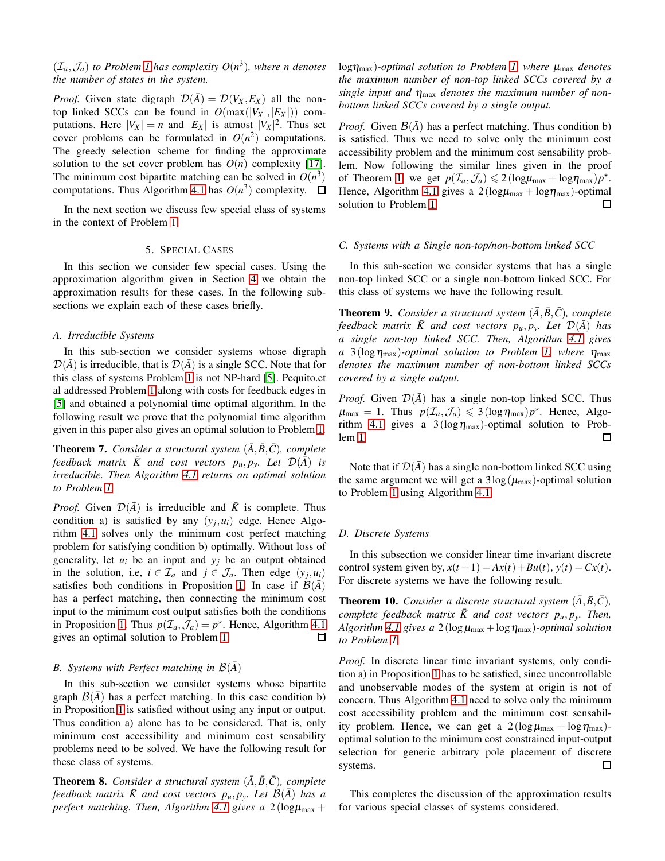# $(\mathcal{I}_a, \mathcal{J}_a)$  to Problem [1](#page-0-1) has complexity  $O(n^3)$ , where n denotes *the number of states in the system.*

*Proof.* Given state digraph  $\mathcal{D}(\bar{A}) = \mathcal{D}(V_X, E_X)$  all the nontop linked SCCs can be found in  $O(max(|V_X|, |E_X|))$  computations. Here  $|V_X| = n$  and  $|E_X|$  is atmost  $|V_X|^2$ . Thus set cover problems can be formulated in  $O(n^2)$  computations. The greedy selection scheme for finding the approximate solution to the set cover problem has  $O(n)$  complexity [\[17\]](#page-10-17). The minimum cost bipartite matching can be solved in  $O(n^3)$ computations. Thus Algorithm [4.1](#page-8-0) has  $O(n^3)$  complexity.

<span id="page-9-0"></span>In the next section we discuss few special class of systems in the context of Problem [1.](#page-0-1)

# 5. SPECIAL CASES

In this section we consider few special cases. Using the approximation algorithm given in Section [4](#page-7-0) we obtain the approximation results for these cases. In the following subsections we explain each of these cases briefly.

## *A. Irreducible Systems*

In this sub-section we consider systems whose digraph  $\mathcal{D}(\overline{A})$  is irreducible, that is  $\mathcal{D}(\overline{A})$  is a single SCC. Note that for this class of systems Problem [1](#page-0-1) is not NP-hard [\[5\]](#page-10-5). Pequito.et al addressed Problem [1](#page-0-1) along with costs for feedback edges in [\[5\]](#page-10-5) and obtained a polynomial time optimal algorithm. In the following result we prove that the polynomial time algorithm given in this paper also gives an optimal solution to Problem [1.](#page-0-1)

**Theorem 7.** Consider a structural system  $(\bar{A}, \bar{B}, \bar{C})$ *, complete feedback matrix*  $\bar{K}$  *and cost vectors*  $p_u, p_y$ *. Let*  $\mathcal{D}(\bar{A})$  *is irreducible. Then Algorithm [4.1](#page-8-0) returns an optimal solution to Problem [1.](#page-0-1)*

*Proof.* Given  $\mathcal{D}(\bar{A})$  is irreducible and  $\bar{K}$  is complete. Thus condition a) is satisfied by any  $(y_j, u_i)$  edge. Hence Algorithm [4.1](#page-8-0) solves only the minimum cost perfect matching problem for satisfying condition b) optimally. Without loss of generality, let  $u_i$  be an input and  $y_i$  be an output obtained in the solution, i.e,  $i \in \mathcal{I}_a$  and  $j \in \mathcal{I}_a$ . Then edge  $(y_j, u_i)$ satisfies both conditions in Proposition [1.](#page-1-2) In case if  $\mathcal{B}(\bar{A})$ has a perfect matching, then connecting the minimum cost input to the minimum cost output satisfies both the conditions in Proposition [1.](#page-1-2) Thus  $p(\mathcal{I}_a, \mathcal{J}_a) = p^*$ . Hence, Algorithm [4.1](#page-8-0) gives an optimal solution to Problem [1.](#page-0-1)  $\Box$ 

#### *B.* Systems with Perfect matching in  $\mathcal{B}(A)$

In this sub-section we consider systems whose bipartite graph  $\mathcal{B}(A)$  has a perfect matching. In this case condition b) in Proposition [1](#page-1-2) is satisfied without using any input or output. Thus condition a) alone has to be considered. That is, only minimum cost accessibility and minimum cost sensability problems need to be solved. We have the following result for these class of systems.

**Theorem 8.** *Consider a structural system*  $(\overline{A}, \overline{B}, \overline{C})$ *, complete feedback matrix*  $\bar{K}$  and cost vectors  $p_u, p_y$ . Let  $\mathcal{B}(\bar{A})$  has a *perfect matching. Then, Algorithm [4.1](#page-8-0) gives a*  $2(\text{log}\mu_{\text{max}} +$  logηmax)*-optimal solution to Problem [1,](#page-0-1) where* <sup>µ</sup>max *denotes the maximum number of non-top linked SCCs covered by a single input and* <sup>η</sup>max *denotes the maximum number of nonbottom linked SCCs covered by a single output.*

*Proof.* Given  $\mathcal{B}(\bar{A})$  has a perfect matching. Thus condition b) is satisfied. Thus we need to solve only the minimum cost accessibility problem and the minimum cost sensability problem. Now following the similar lines given in the proof of Theorem [1,](#page-0-2) we get  $p(\mathcal{I}_a, \mathcal{J}_a) \leq 2(\log \mu_{\max} + \log \eta_{\max})p^*$ . Hence, Algorithm [4.1](#page-8-0) gives a  $2(log\mu_{max} + log\eta_{max})$ -optimal solution to Problem [1.](#page-0-1)  $\Box$ 

## *C. Systems with a Single non-top/non-bottom linked SCC*

In this sub-section we consider systems that has a single non-top linked SCC or a single non-bottom linked SCC. For this class of systems we have the following result.

**Theorem 9.** *Consider a structural system*  $(\overline{A}, \overline{B}, \overline{C})$ *, complete feedback matrix*  $\bar{K}$  *and cost vectors*  $p_u, p_y$ *. Let*  $\mathcal{D}(\bar{A})$  has *a single non-top linked SCC. Then, Algorithm [4.1](#page-8-0) gives*  $a \frac{3(\log \eta_{\max})}{2}$ -optimal solution to Problem [1,](#page-0-1) where  $\eta_{\max}$ *denotes the maximum number of non-bottom linked SCCs covered by a single output.*

*Proof.* Given  $\mathcal{D}(\overline{A})$  has a single non-top linked SCC. Thus  $\mu_{\text{max}} = 1$ . Thus  $p(\mathcal{I}_a, \mathcal{J}_a) \leq 3(\log \eta_{\text{max}})p^*$ . Hence, Algo-rithm [4.1](#page-8-0) gives a  $3(log \eta_{max})$ -optimal solution to Prob- $\Box$ lem [1.](#page-0-1)

Note that if  $\mathcal{D}(\overline{A})$  has a single non-bottom linked SCC using the same argument we will get a  $3\log(\mu_{\text{max}})$ -optimal solution to Problem [1](#page-0-1) using Algorithm [4.1.](#page-8-0)

### *D. Discrete Systems*

In this subsection we consider linear time invariant discrete control system given by,  $x(t+1) = Ax(t) + Bu(t)$ ,  $y(t) = Cx(t)$ . For discrete systems we have the following result.

**Theorem 10.** *Consider a discrete structural system*  $(A, B, C)$ *, complete feedback matrix*  $\bar{K}$  and cost vectors  $p_u, p_y$ . Then, *Algorithm* [4.1](#page-8-0) *gives a* 2 ( $\log \mu_{\text{max}} + \log \eta_{\text{max}}$ *)-optimal solution to Problem [1.](#page-0-1)*

*Proof.* In discrete linear time invariant systems, only condition a) in Proposition [1](#page-1-2) has to be satisfied, since uncontrollable and unobservable modes of the system at origin is not of concern. Thus Algorithm [4.1](#page-8-0) need to solve only the minimum cost accessibility problem and the minimum cost sensability problem. Hence, we can get a  $2(\log \mu_{\text{max}} + \log \eta_{\text{max}})$ optimal solution to the minimum cost constrained input-output selection for generic arbitrary pole placement of discrete systems.  $\Box$ 

This completes the discussion of the approximation results for various special classes of systems considered.